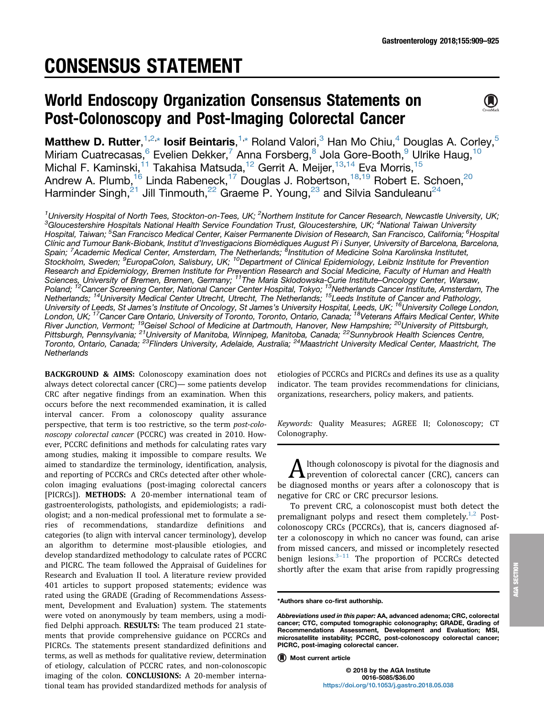# CONSENSUS STATEMENT

## World Endoscopy Organization Consensus Statements on Post-Colonoscopy and Post-Imaging Colorectal Cancer



Matthew D. Rutter,<sup>1,2,\*</sup> losif Beintaris,<sup>1,\*</sup> Roland Valori,<sup>3</sup> Han Mo Chiu,<sup>4</sup> Douglas A. Corley,<sup>5</sup> Miriam Cuatrecasas,  $6$  Evelien Dekker,  $7$  Anna Forsberg,  $8$  Jola Gore-Booth,  $9$  Ulrike Haug,  $10$ Michal F. Kaminski,<sup>11</sup> Takahisa Matsuda,<sup>12</sup> Gerrit A. Meijer,<sup>13,14</sup> Eva Morris,<sup>15</sup> Andrew A. Plumb,<sup>16</sup> Linda Rabeneck,<sup>17</sup> Douglas J. Robertson,<sup>18,19</sup> Robert E. Schoen,<sup>20</sup> Harminder Singh,<sup>21</sup> Jill Tinmouth,<sup>22</sup> Graeme P. Young,<sup>23</sup> and Silvia Sanduleanu<sup>24</sup>

<sup>1</sup>University Hospital of North Tees, Stockton-on-Tees, UK; <sup>2</sup>Northern Institute for Cancer Research, Newcastle University, UK;<br><sup>3</sup>Glougestershire Hospitals National Health Senrice Foundation Trust, Glougestershire, UK; <sup></sup> Gloucestershire Hospitals National Health Service Foundation Trust, Gloucestershire, UK; <sup>4</sup>National Taiwan University Hospital, Taiwan; <sup>5</sup>San Francisco Medical Center, Kaiser Permanente Division of Research, San Francisco, California; <sup>6</sup>Hospital Clínic and Tumour Bank-Biobank, Institut d'Investigacions Biomèdiques August Pi i Sunyer, University of Barcelona, Barcelona, Spain; <sup>7</sup>Academic Medical Center, Amsterdam, The Netherlands; <sup>8</sup>Institution of Medicine Solna Karolinska Institutet, Stockholm, Sweden; <sup>9</sup>EuropaColon, Salisbury, UK; <sup>10</sup>Department of Clinical Epidemiology, Leibniz Institute for Prevention Research and Epidemiology, Bremen Institute for Prevention Research and Social Medicine, Faculty of Human and Health Sciences, University of Bremen, Bremen, Germany; <sup>11</sup>The Maria Sklodowska-Curie Institute–Oncology Center, Warsaw, Poland; <sup>12</sup>Cancer Screening Center, National Cancer Center Hospital, Tokyo; <sup>13</sup>Netherlands Cancer Institute, Amsterdam, The Netherlands; <sup>14</sup>University Medical Center Utrecht, Utrecht, The Netherlands; <sup>15</sup>Leeds Institute of Cancer and Pathology, University of Leeds, St James's Institute of Oncology, St James's University Hospital, Leeds, UK; <sup>16</sup>University College London, London, UK; <sup>17</sup>Cancer Care Ontario, University of Toronto, Toronto, Ontario, Canada; <sup>18</sup>Veterans Affairs Medical Center, White River Junction, Vermont; <sup>19</sup>Geisel School of Medicine at Dartmouth, Hanover, New Hampshire; <sup>20</sup>University of Pittsburgh, Pittsburgh, Pennsylvania; <sup>21</sup>University of Manitoba, Winnipeg, Manitoba, Canada; <sup>22</sup>Sunnybrook Health Sciences Centre, Toronto, Ontario, Canada; <sup>23</sup>Flinders University, Adelaide, Australia; <sup>24</sup>Maastricht University Medical Center, Maastricht, The **Netherlands** 

BACKGROUND & AIMS: Colonoscopy examination does not always detect colorectal cancer (CRC)— some patients develop CRC after negative findings from an examination. When this occurs before the next recommended examination, it is called interval cancer. From a colonoscopy quality assurance perspective, that term is too restrictive, so the term post-colonoscopy colorectal cancer (PCCRC) was created in 2010. However, PCCRC definitions and methods for calculating rates vary among studies, making it impossible to compare results. We aimed to standardize the terminology, identification, analysis, and reporting of PCCRCs and CRCs detected after other wholecolon imaging evaluations (post-imaging colorectal cancers [PICRCs]). METHODS: A 20-member international team of gastroenterologists, pathologists, and epidemiologists; a radiologist; and a non-medical professional met to formulate a series of recommendations, standardize definitions and categories (to align with interval cancer terminology), develop an algorithm to determine most-plausible etiologies, and develop standardized methodology to calculate rates of PCCRC and PICRC. The team followed the Appraisal of Guidelines for Research and Evaluation II tool. A literature review provided 401 articles to support proposed statements; evidence was rated using the GRADE (Grading of Recommendations Assessment, Development and Evaluation) system. The statements were voted on anonymously by team members, using a modified Delphi approach. RESULTS: The team produced 21 statements that provide comprehensive guidance on PCCRCs and PICRCs. The statements present standardized definitions and terms, as well as methods for qualitative review, determination of etiology, calculation of PCCRC rates, and non-colonoscopic imaging of the colon. CONCLUSIONS: A 20-member international team has provided standardized methods for analysis of etiologies of PCCRCs and PICRCs and defines its use as a quality indicator. The team provides recommendations for clinicians, organizations, researchers, policy makers, and patients.

Keywords: Quality Measures; AGREE II; Colonoscopy; CT Colonography.

A lthough colonoscopy is pivotal for the diagnosis and<br>prevention of colorectal cancer (CRC), cancers can<br>diagnosed manths on weave often a selencescapy that is be diagnosed months or years after a colonoscopy that is negative for CRC or CRC precursor lesions.

To prevent CRC, a colonoscopist must both detect the premalignant polyps and resect them completely.<sup>[1,2](#page-13-0)</sup> Postcolonoscopy CRCs (PCCRCs), that is, cancers diagnosed after a colonoscopy in which no cancer was found, can arise from missed cancers, and missed or incompletely resected benign lesions. $3-11$  $3-11$  $3-11$  The proportion of PCCRCs detected shortly after the exam that arise from rapidly progressing

<sup>\*</sup>Authors share co-first authorship.

Abbreviations used in this paper: AA, advanced adenoma; CRC, colorectal cancer; CTC, computed tomographic colonography; GRADE, Grading of Recommendations Assessment, Development and Evaluation; MSI, microsatellite instability; PCCRC, post-colonoscopy colorectal cancer; PICRC, post-imaging colorectal cancer.

<sup>(</sup>R) Most current article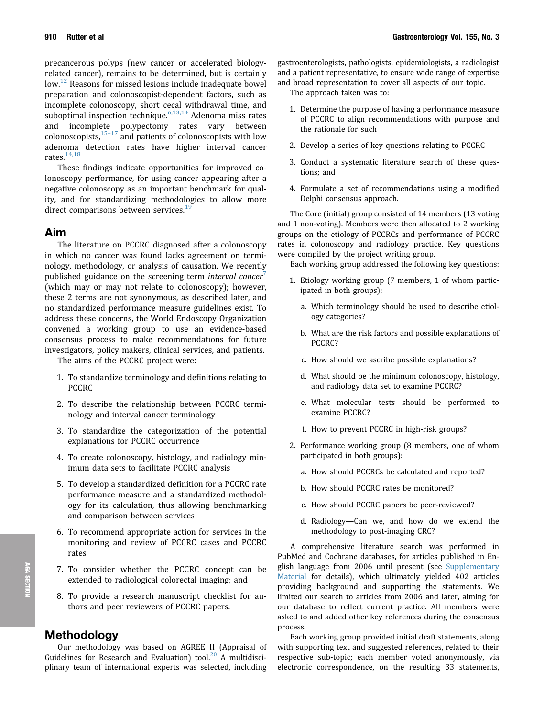precancerous polyps (new cancer or accelerated biologyrelated cancer), remains to be determined, but is certainly low.<sup>[12](#page-13-0)</sup> Reasons for missed lesions include inadequate bowel preparation and colonoscopist-dependent factors, such as incomplete colonoscopy, short cecal withdrawal time, and suboptimal inspection technique. $6,13,14$  Adenoma miss rates and incomplete polypectomy rates vary between colonoscopists, $15-17$  $15-17$  $15-17$  and patients of colonoscopists with low adenoma detection rates have higher interval cancer rates.[14,18](#page-14-0)

These findings indicate opportunities for improved colonoscopy performance, for using cancer appearing after a negative colonoscopy as an important benchmark for quality, and for standardizing methodologies to allow more direct comparisons between services. $19$ 

#### Aim

The literature on PCCRC diagnosed after a colonoscopy in which no cancer was found lacks agreement on terminology, methodology, or analysis of causation. We recently published guidance on the screening term *interval cancer* (which may or may not relate to colonoscopy); however, these 2 terms are not synonymous, as described later, and no standardized performance measure guidelines exist. To address these concerns, the World Endoscopy Organization convened a working group to use an evidence-based consensus process to make recommendations for future investigators, policy makers, clinical services, and patients.

The aims of the PCCRC project were:

- 1. To standardize terminology and definitions relating to PCCRC
- 2. To describe the relationship between PCCRC terminology and interval cancer terminology
- 3. To standardize the categorization of the potential explanations for PCCRC occurrence
- 4. To create colonoscopy, histology, and radiology minimum data sets to facilitate PCCRC analysis
- 5. To develop a standardized definition for a PCCRC rate performance measure and a standardized methodology for its calculation, thus allowing benchmarking and comparison between services
- 6. To recommend appropriate action for services in the monitoring and review of PCCRC cases and PCCRC rates
- 7. To consider whether the PCCRC concept can be extended to radiological colorectal imaging; and
- 8. To provide a research manuscript checklist for authors and peer reviewers of PCCRC papers.

#### **Methodology**

Our methodology was based on AGREE II (Appraisal of Guidelines for Research and Evaluation) tool. $^{20}$  $^{20}$  $^{20}$  A multidisciplinary team of international experts was selected, including gastroenterologists, pathologists, epidemiologists, a radiologist and a patient representative, to ensure wide range of expertise and broad representation to cover all aspects of our topic.

The approach taken was to:

- 1. Determine the purpose of having a performance measure of PCCRC to align recommendations with purpose and the rationale for such
- 2. Develop a series of key questions relating to PCCRC
- 3. Conduct a systematic literature search of these questions; and
- 4. Formulate a set of recommendations using a modified Delphi consensus approach.

The Core (initial) group consisted of 14 members (13 voting and 1 non-voting). Members were then allocated to 2 working groups on the etiology of PCCRCs and performance of PCCRC rates in colonoscopy and radiology practice. Key questions were compiled by the project writing group.

Each working group addressed the following key questions:

- 1. Etiology working group (7 members, 1 of whom participated in both groups):
	- a. Which terminology should be used to describe etiology categories?
	- b. What are the risk factors and possible explanations of PCCRC?
	- c. How should we ascribe possible explanations?
	- d. What should be the minimum colonoscopy, histology, and radiology data set to examine PCCRC?
	- e. What molecular tests should be performed to examine PCCRC?
	- f. How to prevent PCCRC in high-risk groups?
- 2. Performance working group (8 members, one of whom participated in both groups):
	- a. How should PCCRCs be calculated and reported?
	- b. How should PCCRC rates be monitored?
	- c. How should PCCRC papers be peer-reviewed?
	- d. Radiology—Can we, and how do we extend the methodology to post-imaging CRC?

A comprehensive literature search was performed in PubMed and Cochrane databases, for articles published in English language from 2006 until present (see [Supplementary](#page-17-0) [Material](#page-17-0) for details), which ultimately yielded 402 articles providing background and supporting the statements. We limited our search to articles from 2006 and later, aiming for our database to reflect current practice. All members were asked to and added other key references during the consensus process.

Each working group provided initial draft statements, along with supporting text and suggested references, related to their respective sub-topic; each member voted anonymously, via electronic correspondence, on the resulting 33 statements,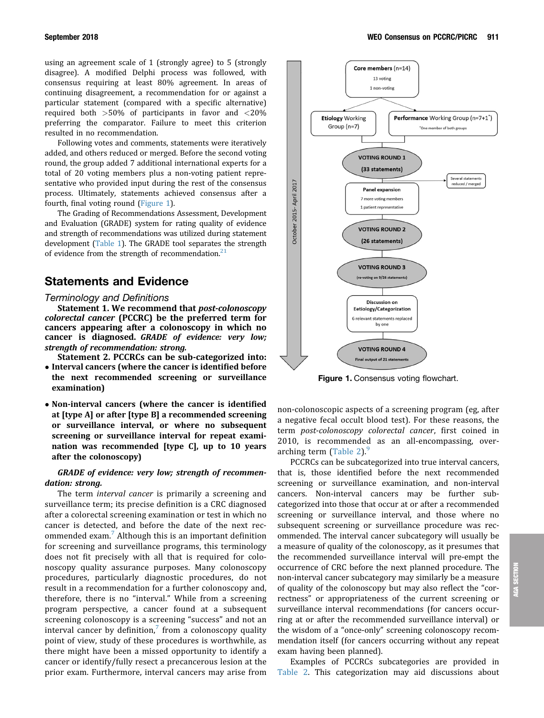using an agreement scale of 1 (strongly agree) to 5 (strongly disagree). A modified Delphi process was followed, with consensus requiring at least 80% agreement. In areas of continuing disagreement, a recommendation for or against a particular statement (compared with a specific alternative) required both >50% of participants in favor and <20% preferring the comparator. Failure to meet this criterion resulted in no recommendation.

Following votes and comments, statements were iteratively added, and others reduced or merged. Before the second voting round, the group added 7 additional international experts for a total of 20 voting members plus a non-voting patient representative who provided input during the rest of the consensus process. Ultimately, statements achieved consensus after a fourth, final voting round (Figure 1).

The Grading of Recommendations Assessment, Development and Evaluation (GRADE) system for rating quality of evidence and strength of recommendations was utilized during statement development [\(Table 1\)](#page-3-0). The GRADE tool separates the strength of evidence from the strength of recommendation. $21$ 

#### Statements and Evidence

#### Terminology and Definitions

Statement 1. We recommend that post-colonoscopy colorectal cancer (PCCRC) be the preferred term for cancers appearing after a colonoscopy in which no cancer is diagnosed. GRADE of evidence: very low; strength of recommendation: strong.

Statement 2. PCCRCs can be sub-categorized into:

- Interval cancers (where the cancer is identified before the next recommended screening or surveillance examination)
- Non-interval cancers (where the cancer is identified at [type A] or after [type B] a recommended screening or surveillance interval, or where no subsequent screening or surveillance interval for repeat examination was recommended [type C], up to 10 years after the colonoscopy)

#### GRADE of evidence: very low; strength of recommendation: strong.

The term *interval cancer* is primarily a screening and surveillance term; its precise definition is a CRC diagnosed after a colorectal screening examination or test in which no cancer is detected, and before the date of the next rec-ommended exam.<sup>[7](#page-13-0)</sup> Although this is an important definition for screening and surveillance programs, this terminology does not fit precisely with all that is required for colonoscopy quality assurance purposes. Many colonoscopy procedures, particularly diagnostic procedures, do not result in a recommendation for a further colonoscopy and, therefore, there is no "interval." While from a screening program perspective, a cancer found at a subsequent screening colonoscopy is a screening "success" and not an interval cancer by definition, $^7$  $^7$  from a colonoscopy quality point of view, study of these procedures is worthwhile, as there might have been a missed opportunity to identify a cancer or identify/fully resect a precancerous lesion at the prior exam. Furthermore, interval cancers may arise from



Figure 1. Consensus voting flowchart.

non-colonoscopic aspects of a screening program (eg, after a negative fecal occult blood test). For these reasons, the term post-colonoscopy colorectal cancer, first coined in 2010, is recommended as an all-encompassing, overarching term  $(Table 2)$  $(Table 2)$ .

PCCRCs can be subcategorized into true interval cancers, that is, those identified before the next recommended screening or surveillance examination, and non-interval cancers. Non-interval cancers may be further subcategorized into those that occur at or after a recommended screening or surveillance interval, and those where no subsequent screening or surveillance procedure was recommended. The interval cancer subcategory will usually be a measure of quality of the colonoscopy, as it presumes that the recommended surveillance interval will pre-empt the occurrence of CRC before the next planned procedure. The non-interval cancer subcategory may similarly be a measure of quality of the colonoscopy but may also reflect the "correctness" or appropriateness of the current screening or surveillance interval recommendations (for cancers occurring at or after the recommended surveillance interval) or the wisdom of a "once-only" screening colonoscopy recommendation itself (for cancers occurring without any repeat exam having been planned).

Examples of PCCRCs subcategories are provided in [Table 2](#page-3-0). This categorization may aid discussions about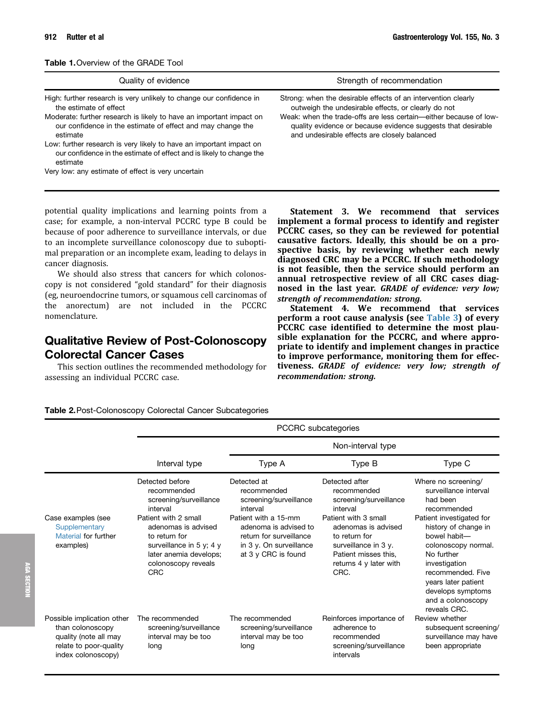<span id="page-3-0"></span>Table 1. Overview of the GRADE Tool

| Quality of evidence                                                                                                                                                                                                                                                                                                                                                                                                                                              | Strength of recommendation                                                                                                                                                                                                                                                                                |
|------------------------------------------------------------------------------------------------------------------------------------------------------------------------------------------------------------------------------------------------------------------------------------------------------------------------------------------------------------------------------------------------------------------------------------------------------------------|-----------------------------------------------------------------------------------------------------------------------------------------------------------------------------------------------------------------------------------------------------------------------------------------------------------|
| High: further research is very unlikely to change our confidence in<br>the estimate of effect<br>Moderate: further research is likely to have an important impact on<br>our confidence in the estimate of effect and may change the<br>estimate<br>Low: further research is very likely to have an important impact on<br>our confidence in the estimate of effect and is likely to change the<br>estimate<br>Very low: any estimate of effect is very uncertain | Strong: when the desirable effects of an intervention clearly<br>outweigh the undesirable effects, or clearly do not<br>Weak: when the trade-offs are less certain-either because of low-<br>quality evidence or because evidence suggests that desirable<br>and undesirable effects are closely balanced |

potential quality implications and learning points from a case; for example, a non-interval PCCRC type B could be because of poor adherence to surveillance intervals, or due to an incomplete surveillance colonoscopy due to suboptimal preparation or an incomplete exam, leading to delays in cancer diagnosis.

We should also stress that cancers for which colonoscopy is not considered "gold standard" for their diagnosis (eg, neuroendocrine tumors, or squamous cell carcinomas of the anorectum) are not included in the PCCRC nomenclature.

## Qualitative Review of Post-Colonoscopy Colorectal Cancer Cases

This section outlines the recommended methodology for assessing an individual PCCRC case.

Statement 3. We recommend that services implement a formal process to identify and register PCCRC cases, so they can be reviewed for potential causative factors. Ideally, this should be on a prospective basis, by reviewing whether each newly diagnosed CRC may be a PCCRC. If such methodology is not feasible, then the service should perform an annual retrospective review of all CRC cases diagnosed in the last year. GRADE of evidence: very low; strength of recommendation: strong.

Statement 4. We recommend that services perform a root cause analysis (see [Table 3\)](#page-4-0) of every PCCRC case identified to determine the most plausible explanation for the PCCRC, and where appropriate to identify and implement changes in practice to improve performance, monitoring them for effectiveness. GRADE of evidence: very low; strength of recommendation: strong.

|                                                                                                                         | PCCRC subcategories                                                                                                                                     |                                                                                                                            |                                                                                                                                                |                                                                                                                                                                                                                              |
|-------------------------------------------------------------------------------------------------------------------------|---------------------------------------------------------------------------------------------------------------------------------------------------------|----------------------------------------------------------------------------------------------------------------------------|------------------------------------------------------------------------------------------------------------------------------------------------|------------------------------------------------------------------------------------------------------------------------------------------------------------------------------------------------------------------------------|
|                                                                                                                         |                                                                                                                                                         | Non-interval type                                                                                                          |                                                                                                                                                |                                                                                                                                                                                                                              |
|                                                                                                                         | Interval type                                                                                                                                           | Type A                                                                                                                     | Type B                                                                                                                                         | Type C                                                                                                                                                                                                                       |
|                                                                                                                         | Detected before<br>recommended<br>screening/surveillance<br>interval                                                                                    | Detected at<br>recommended<br>screening/surveillance<br>interval                                                           | Detected after<br>recommended<br>screening/surveillance<br>interval                                                                            | Where no screening/<br>surveillance interval<br>had been<br>recommended                                                                                                                                                      |
| Case examples (see<br>Supplementary<br>Material for further<br>examples)                                                | Patient with 2 small<br>adenomas is advised<br>to return for<br>surveillance in 5 y; 4 y<br>later anemia develops;<br>colonoscopy reveals<br><b>CRC</b> | Patient with a 15-mm<br>adenoma is advised to<br>return for surveillance<br>in 3 y. On surveillance<br>at 3 y CRC is found | Patient with 3 small<br>adenomas is advised<br>to return for<br>surveillance in 3 y.<br>Patient misses this.<br>returns 4 y later with<br>CRC. | Patient investigated for<br>history of change in<br>bowel habit-<br>colonoscopy normal.<br>No further<br>investigation<br>recommended. Five<br>years later patient<br>develops symptoms<br>and a colonoscopy<br>reveals CRC. |
| Possible implication other<br>than colonoscopy<br>quality (note all may<br>relate to poor-quality<br>index colonoscopy) | The recommended<br>screening/surveillance<br>interval may be too<br>long                                                                                | The recommended<br>screening/surveillance<br>interval may be too<br>long                                                   | Reinforces importance of<br>adherence to<br>recommended<br>screening/surveillance<br>intervals                                                 | Review whether<br>subsequent screening/<br>surveillance may have<br>been appropriate                                                                                                                                         |

Table 2.Post-Colonoscopy Colorectal Cancer Subcategories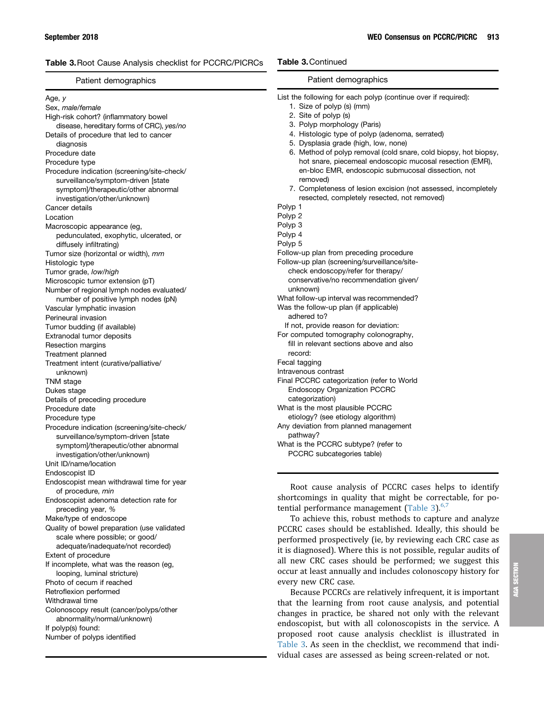#### <span id="page-4-0"></span>Table 3.Root Cause Analysis checklist for PCCRC/PICRCs

#### Table 3.Continued

| Patient demographics                                                   | Patient demographics                                                        |
|------------------------------------------------------------------------|-----------------------------------------------------------------------------|
| Age, y                                                                 | List the following for each polyp (continue over if required):              |
| Sex, male/female                                                       | 1. Size of polyp (s) (mm)                                                   |
| High-risk cohort? (inflammatory bowel                                  | 2. Site of polyp (s)                                                        |
| disease, hereditary forms of CRC), yes/no                              | 3. Polyp morphology (Paris)                                                 |
| Details of procedure that led to cancer                                | 4. Histologic type of polyp (adenoma, serrated)                             |
| diagnosis                                                              | 5. Dysplasia grade (high, low, none)                                        |
| Procedure date                                                         | 6. Method of polyp removal (cold snare, cold biopsy, hot biopsy,            |
| Procedure type                                                         | hot snare, piecemeal endoscopic mucosal resection (EMR),                    |
| Procedure indication (screening/site-check/                            | en-bloc EMR, endoscopic submucosal dissection, not                          |
| surveillance/symptom-driven [state                                     | removed)                                                                    |
| symptom]/therapeutic/other abnormal                                    | 7. Completeness of lesion excision (not assessed, incompletely              |
| investigation/other/unknown)                                           | resected, completely resected, not removed)                                 |
| Cancer details                                                         | Polyp 1                                                                     |
| Location                                                               | Polyp <sub>2</sub>                                                          |
| Macroscopic appearance (eg,                                            | Polyp 3                                                                     |
| pedunculated, exophytic, ulcerated, or                                 | Polyp 4                                                                     |
| diffusely infiltrating)                                                | Polyp 5                                                                     |
| Tumor size (horizontal or width), mm                                   | Follow-up plan from preceding procedure                                     |
| Histologic type                                                        | Follow-up plan (screening/surveillance/site-                                |
| Tumor grade, low/high                                                  | check endoscopy/refer for therapy/<br>conservative/no recommendation given/ |
| Microscopic tumor extension (pT)                                       | unknown)                                                                    |
| Number of regional lymph nodes evaluated/                              | What follow-up interval was recommended?                                    |
| number of positive lymph nodes (pN)<br>Vascular lymphatic invasion     | Was the follow-up plan (if applicable)                                      |
| Perineural invasion                                                    | adhered to?                                                                 |
| Tumor budding (if available)                                           | If not, provide reason for deviation:                                       |
| Extranodal tumor deposits                                              | For computed tomography colonography,                                       |
| Resection margins                                                      | fill in relevant sections above and also                                    |
| Treatment planned                                                      | record:                                                                     |
| Treatment intent (curative/palliative/                                 | Fecal tagging                                                               |
| unknown)                                                               | Intravenous contrast                                                        |
| TNM stage                                                              | Final PCCRC categorization (refer to World                                  |
| Dukes stage                                                            | <b>Endoscopy Organization PCCRC</b>                                         |
| Details of preceding procedure                                         | categorization)                                                             |
| Procedure date                                                         | What is the most plausible PCCRC                                            |
| Procedure type                                                         | etiology? (see etiology algorithm)                                          |
| Procedure indication (screening/site-check/                            | Any deviation from planned management                                       |
| surveillance/symptom-driven [state                                     | pathway?                                                                    |
| symptom]/therapeutic/other abnormal                                    | What is the PCCRC subtype? (refer to                                        |
| investigation/other/unknown)                                           | PCCRC subcategories table)                                                  |
| Unit ID/name/location                                                  |                                                                             |
| Endoscopist ID                                                         |                                                                             |
| Endoscopist mean withdrawal time for year                              | Root cause analysis of PCCRC cases helps to identify                        |
| of procedure, min                                                      |                                                                             |
| Endoscopist adenoma detection rate for                                 | shortcomings in quality that might be correctable, for po-                  |
| preceding year, %                                                      | tential performance management (Table $3$ ). <sup>6,7</sup>                 |
| Make/type of endoscope                                                 | To achieve this, robust methods to capture and analyze                      |
| Quality of bowel preparation (use validated                            | PCCRC cases should be established. Ideally, this should be                  |
| scale where possible; or good/                                         | performed prospectively (ie, by reviewing each CRC case as                  |
| adequate/inadequate/not recorded)                                      | it is diagnosed). Where this is not possible, regular audits of             |
| Extent of procedure                                                    | all new CRC cases should be performed; we suggest this                      |
| If incomplete, what was the reason (eg,<br>looping, luminal stricture) | occur at least annually and includes colonoscopy history for                |
| Photo of cecum if reached                                              | every new CRC case.                                                         |
| Retroflexion performed                                                 | Because PCCRCs are relatively infrequent, it is important                   |
| Withdrawal time                                                        |                                                                             |
| Colonoscopy result (cancer/polyps/other                                | that the learning from root cause analysis, and potential                   |
| abnormality/normal/unknown)                                            | changes in practice, be shared not only with the relevant                   |
| If polyp(s) found:                                                     | endoscopist, but with all colonoscopists in the service. A                  |
| Number of polyps identified                                            | proposed root cause analysis checklist is illustrated in                    |
|                                                                        | Table 3. As seen in the checklist, we recommend that indi-                  |

vidual cases are assessed as being screen-related or not.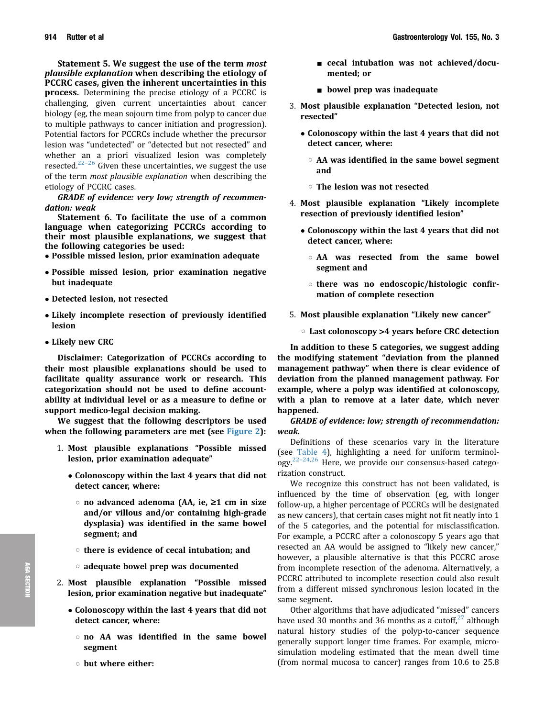Statement 5. We suggest the use of the term most plausible explanation when describing the etiology of PCCRC cases, given the inherent uncertainties in this process. Determining the precise etiology of a PCCRC is challenging, given current uncertainties about cancer biology (eg, the mean sojourn time from polyp to cancer due to multiple pathways to cancer initiation and progression). Potential factors for PCCRCs include whether the precursor lesion was "undetected" or "detected but not resected" and whether an a priori visualized lesion was completely resected. $22-26$  $22-26$  $22-26$  Given these uncertainties, we suggest the use of the term most plausible explanation when describing the etiology of PCCRC cases.

GRADE of evidence: very low; strength of recommendation: weak

Statement 6. To facilitate the use of a common language when categorizing PCCRCs according to their most plausible explanations, we suggest that the following categories be used:

- Possible missed lesion, prior examination adequate
- Possible missed lesion, prior examination negative but inadequate
- Detected lesion, not resected
- Likely incomplete resection of previously identified lesion
- Likely new CRC

Disclaimer: Categorization of PCCRCs according to their most plausible explanations should be used to facilitate quality assurance work or research. This categorization should not be used to define accountability at individual level or as a measure to define or support medico-legal decision making.

We suggest that the following descriptors be used when the following parameters are met (see [Figure 2](#page-6-0)):

- 1. Most plausible explanations "Possible missed lesion, prior examination adequate"
	- Colonoscopy within the last 4 years that did not detect cancer, where:
		- $\circ$  no advanced adenoma (AA, ie,  $\geq 1$  cm in size and/or villous and/or containing high-grade dysplasia) was identified in the same bowel segment; and
		- $\circ$  there is evidence of cecal intubation; and
		- $\circ$  adequate bowel prep was documented
- 2. Most plausible explanation "Possible missed lesion, prior examination negative but inadequate"
	- Colonoscopy within the last 4 years that did not detect cancer, where:
		- $\circ$  no AA was identified in the same bowel segment
		- $\circ$  but where either:
- $\blacksquare$  cecal intubation was not achieved/documented; or
- **Dep** bowel prep was inadequate
- 3. Most plausible explanation "Detected lesion, not resected"
	- Colonoscopy within the last 4 years that did not detect cancer, where:
		- $\circ$  AA was identified in the same bowel segment and
		- $\circ$  The lesion was not resected
- 4. Most plausible explanation "Likely incomplete resection of previously identified lesion"
	- Colonoscopy within the last 4 years that did not detect cancer, where:
		- $\circ$  AA was resected from the same bowel segment and
		- $\circ$  there was no endoscopic/histologic confirmation of complete resection
- 5. Most plausible explanation "Likely new cancer"
	- **Last colonoscopy >4 years before CRC detection**

In addition to these 5 categories, we suggest adding the modifying statement "deviation from the planned management pathway" when there is clear evidence of deviation from the planned management pathway. For example, where a polyp was identified at colonoscopy, with a plan to remove at a later date, which never happened.

GRADE of evidence: low; strength of recommendation: weak.

Definitions of these scenarios vary in the literature (see [Table 4\)](#page-6-0), highlighting a need for uniform terminology. $22-24,26$  $22-24,26$  $22-24,26$  Here, we provide our consensus-based categorization construct.

We recognize this construct has not been validated, is influenced by the time of observation (eg, with longer follow-up, a higher percentage of PCCRCs will be designated as new cancers), that certain cases might not fit neatly into 1 of the 5 categories, and the potential for misclassification. For example, a PCCRC after a colonoscopy 5 years ago that resected an AA would be assigned to "likely new cancer," however, a plausible alternative is that this PCCRC arose from incomplete resection of the adenoma. Alternatively, a PCCRC attributed to incomplete resection could also result from a different missed synchronous lesion located in the same segment.

Other algorithms that have adjudicated "missed" cancers have used 30 months and 36 months as a cutoff, $27$  although natural history studies of the polyp-to-cancer sequence generally support longer time frames. For example, microsimulation modeling estimated that the mean dwell time (from normal mucosa to cancer) ranges from 10.6 to 25.8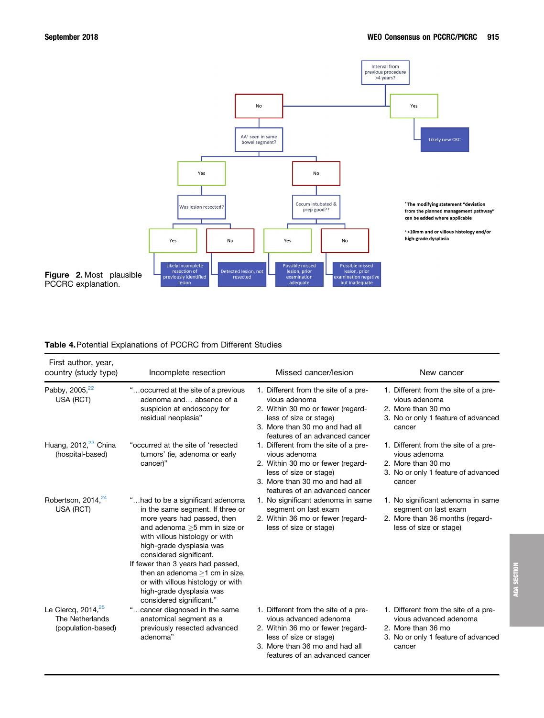AGA SECTION

AGA SECTION

<span id="page-6-0"></span>

#### Table 4.Potential Explanations of PCCRC from Different Studies

| First author, year,<br>country (study type)                              | Incomplete resection                                                                                                                                                                                                                                                                                                                                                                                 | Missed cancer/lesion                                                                                                                                                                              | New cancer                                                                                                                            |
|--------------------------------------------------------------------------|------------------------------------------------------------------------------------------------------------------------------------------------------------------------------------------------------------------------------------------------------------------------------------------------------------------------------------------------------------------------------------------------------|---------------------------------------------------------------------------------------------------------------------------------------------------------------------------------------------------|---------------------------------------------------------------------------------------------------------------------------------------|
| Pabby, 2005, <sup>22</sup><br>USA (RCT)                                  | "occurred at the site of a previous<br>adenoma and absence of a<br>suspicion at endoscopy for<br>residual neoplasia"                                                                                                                                                                                                                                                                                 | 1. Different from the site of a pre-<br>vious adenoma<br>2. Within 30 mo or fewer (regard-<br>less of size or stage)<br>3. More than 30 mo and had all<br>features of an advanced cancer          | 1. Different from the site of a pre-<br>vious adenoma<br>2. More than 30 mo<br>3. No or only 1 feature of advanced<br>cancer          |
| Huang, 2012, <sup>23</sup> China<br>(hospital-based)                     | "occurred at the site of 'resected<br>tumors' (ie, adenoma or early<br>cancer)"                                                                                                                                                                                                                                                                                                                      | 1. Different from the site of a pre-<br>vious adenoma<br>2. Within 30 mo or fewer (regard-<br>less of size or stage)<br>3. More than 30 mo and had all<br>features of an advanced cancer          | 1. Different from the site of a pre-<br>vious adenoma<br>2. More than 30 mo<br>3. No or only 1 feature of advanced<br>cancer          |
| Robertson, 2014, <sup>24</sup><br>USA (RCT)                              | "had to be a significant adenoma<br>in the same segment. If three or<br>more years had passed, then<br>and adenoma $>5$ mm in size or<br>with villous histology or with<br>high-grade dysplasia was<br>considered significant.<br>If fewer than 3 years had passed,<br>then an adenoma $>1$ cm in size,<br>or with villous histology or with<br>high-grade dysplasia was<br>considered significant." | 1. No significant adenoma in same<br>segment on last exam<br>2. Within 36 mo or fewer (regard-<br>less of size or stage)                                                                          | 1. No significant adenoma in same<br>segment on last exam<br>2. More than 36 months (regard-<br>less of size or stage)                |
| Le Clercq, $2014$ <sup>25</sup><br>The Netherlands<br>(population-based) | "cancer diagnosed in the same<br>anatomical segment as a<br>previously resected advanced<br>adenoma"                                                                                                                                                                                                                                                                                                 | 1. Different from the site of a pre-<br>vious advanced adenoma<br>2. Within 36 mo or fewer (regard-<br>less of size or stage)<br>3. More than 36 mo and had all<br>features of an advanced cancer | 1. Different from the site of a pre-<br>vious advanced adenoma<br>2. More than 36 mo<br>3. No or only 1 feature of advanced<br>cancer |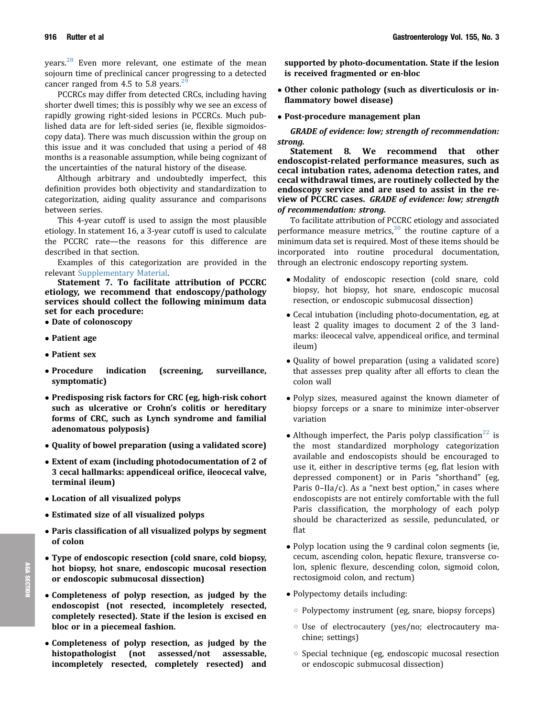years.<sup>28</sup> Even more relevant, one estimate of the mean sojourn time of preclinical cancer progressing to a detected cancer ranged from 4.5 to 5.8 years.<sup>[29](#page-14-0)</sup>

PCCRCs may differ from detected CRCs, including having shorter dwell times; this is possibly why we see an excess of rapidly growing right-sided lesions in PCCRCs. Much published data are for left-sided series (ie, flexible sigmoidoscopy data). There was much discussion within the group on this issue and it was concluded that using a period of 48 months is a reasonable assumption, while being cognizant of the uncertainties of the natural history of the disease.

Although arbitrary and undoubtedly imperfect, this definition provides both objectivity and standardization to categorization, aiding quality assurance and comparisons between series.

This 4-year cutoff is used to assign the most plausible etiology. In statement 16, a 3-year cutoff is used to calculate the PCCRC rate—the reasons for this difference are described in that section.

Examples of this categorization are provided in the relevant [Supplementary Material.](#page-17-0)

Statement 7. To facilitate attribution of PCCRC etiology, we recommend that endoscopy/pathology services should collect the following minimum data set for each procedure:

- Date of colonoscopy
- Patient age
- Patient sex
- Procedure indication (screening, surveillance, symptomatic)
- Predisposing risk factors for CRC (eg, high-risk cohort such as ulcerative or Crohn's colitis or hereditary forms of CRC, such as Lynch syndrome and familial adenomatous polyposis)
- Quality of bowel preparation (using a validated score)
- Extent of exam (including photodocumentation of 2 of 3 cecal hallmarks: appendiceal orifice, ileocecal valve, terminal ileum)
- Location of all visualized polyps
- Estimated size of all visualized polyps
- Paris classification of all visualized polyps by segment of colon
- Type of endoscopic resection (cold snare, cold biopsy, hot biopsy, hot snare, endoscopic mucosal resection or endoscopic submucosal dissection)
- Completeness of polyp resection, as judged by the endoscopist (not resected, incompletely resected, completely resected). State if the lesion is excised en bloc or in a piecemeal fashion.
- Completeness of polyp resection, as judged by the histopathologist incompletely resected, completely resected) and

supported by photo-documentation. State if the lesion is received fragmented or en-bloc

- Other colonic pathology (such as diverticulosis or inflammatory bowel disease)
- Post-procedure management plan

GRADE of evidence: low; strength of recommendation: strong.

Statement 8. We recommend that other endoscopist-related performance measures, such as cecal intubation rates, adenoma detection rates, and cecal withdrawal times, are routinely collected by the endoscopy service and are used to assist in the review of PCCRC cases. GRADE of evidence: low; strength of recommendation: strong.

To facilitate attribution of PCCRC etiology and associated performance measure metrics, $30$  the routine capture of a minimum data set is required. Most of these items should be incorporated into routine procedural documentation, through an electronic endoscopy reporting system.

- Modality of endoscopic resection (cold snare, cold biopsy, hot biopsy, hot snare, endoscopic mucosal resection, or endoscopic submucosal dissection)
- Cecal intubation (including photo-documentation, eg, at least 2 quality images to document 2 of the 3 landmarks: ileocecal valve, appendiceal orifice, and terminal ileum)
- Quality of bowel preparation (using a validated score) that assesses prep quality after all efforts to clean the colon wall
- Polyp sizes, measured against the known diameter of biopsy forceps or a snare to minimize inter-observer variation
- Although imperfect, the Paris polyp classification<sup>[22](#page-14-0)</sup> is the most standardized morphology categorization available and endoscopists should be encouraged to use it, either in descriptive terms (eg, flat lesion with depressed component) or in Paris "shorthand" (eg, Paris  $0$ -IIa/c). As a "next best option," in cases where endoscopists are not entirely comfortable with the full Paris classification, the morphology of each polyp should be characterized as sessile, pedunculated, or flat
- Polyp location using the 9 cardinal colon segments (ie, cecum, ascending colon, hepatic flexure, transverse colon, splenic flexure, descending colon, sigmoid colon, rectosigmoid colon, and rectum)
- Polypectomy details including:
	- $\circ$  Polypectomy instrument (eg, snare, biopsy forceps)
	- o Use of electrocautery (yes/no; electrocautery machine; settings)
	- o Special technique (eg, endoscopic mucosal resection or endoscopic submucosal dissection)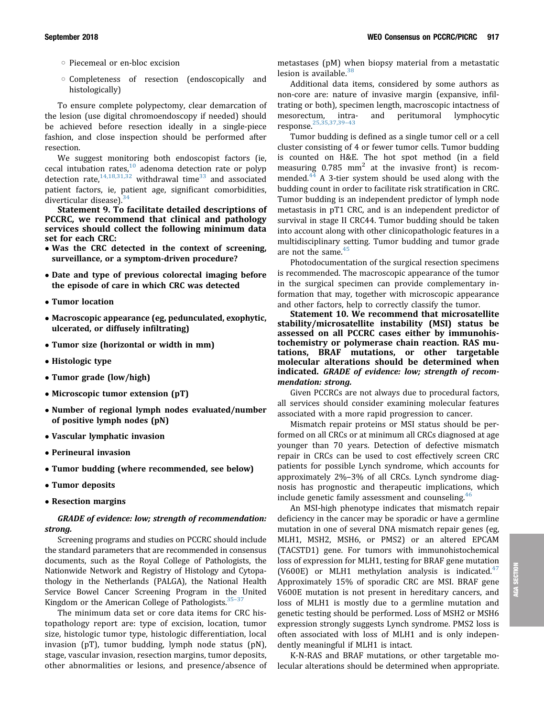- $\circ$  Piecemeal or en-bloc excision
- o Completeness of resection (endoscopically and histologically)

To ensure complete polypectomy, clear demarcation of the lesion (use digital chromoendoscopy if needed) should be achieved before resection ideally in a single-piece fashion, and close inspection should be performed after resection.

We suggest monitoring both endoscopist factors (ie, cecal intubation rates, $10$  adenoma detection rate or polyp detection rate,  $14,18,31,32$  withdrawal time<sup>[33](#page-14-0)</sup> and associated patient factors, ie, patient age, significant comorbidities, diverticular disease).<sup>3</sup>

Statement 9. To facilitate detailed descriptions of PCCRC, we recommend that clinical and pathology services should collect the following minimum data set for each CRC:

- Was the CRC detected in the context of screening, surveillance, or a symptom-driven procedure?
- Date and type of previous colorectal imaging before the episode of care in which CRC was detected
- Tumor location
- Macroscopic appearance (eg, pedunculated, exophytic, ulcerated, or diffusely infiltrating)
- Tumor size (horizontal or width in mm)
- Histologic type
- Tumor grade (low/high)
- Microscopic tumor extension (pT)
- Number of regional lymph nodes evaluated/number of positive lymph nodes (pN)
- Vascular lymphatic invasion
- Perineural invasion
- Tumor budding (where recommended, see below)
- Tumor deposits
- Resection margins

#### GRADE of evidence: low; strength of recommendation: strong.

Screening programs and studies on PCCRC should include the standard parameters that are recommended in consensus documents, such as the Royal College of Pathologists, the Nationwide Network and Registry of Histology and Cytopathology in the Netherlands (PALGA), the National Health Service Bowel Cancer Screening Program in the United Kingdom or the American College of Pathologists.<sup>[35](#page-14-0)-[37](#page-14-0)</sup>

The minimum data set or core data items for CRC histopathology report are: type of excision, location, tumor size, histologic tumor type, histologic differentiation, local invasion (pT), tumor budding, lymph node status (pN), stage, vascular invasion, resection margins, tumor deposits, other abnormalities or lesions, and presence/absence of

metastases (pM) when biopsy material from a metastatic lesion is available. $38$ 

Additional data items, considered by some authors as non-core are: nature of invasive margin (expansive, infiltrating or both), specimen length, macroscopic intactness of mesorectum, intra- and peritumoral lymphocytic response[.25,35,37,39](#page-14-0)–[43](#page-14-0)

Tumor budding is defined as a single tumor cell or a cell cluster consisting of 4 or fewer tumor cells. Tumor budding is counted on H&E. The hot spot method (in a field measuring  $0.785$  mm<sup>2</sup> at the invasive front) is recom-mended.<sup>[44](#page-15-0)</sup> A 3-tier system should be used along with the budding count in order to facilitate risk stratification in CRC. Tumor budding is an independent predictor of lymph node metastasis in pT1 CRC, and is an independent predictor of survival in stage II CRC44. Tumor budding should be taken into account along with other clinicopathologic features in a multidisciplinary setting. Tumor budding and tumor grade are not the same. $45$ 

Photodocumentation of the surgical resection specimens is recommended. The macroscopic appearance of the tumor in the surgical specimen can provide complementary information that may, together with microscopic appearance and other factors, help to correctly classify the tumor.

Statement 10. We recommend that microsatellite stability/microsatellite instability (MSI) status be assessed on all PCCRC cases either by immunohistochemistry or polymerase chain reaction. RAS mutations, BRAF mutations, or other targetable molecular alterations should be determined when indicated. GRADE of evidence: low; strength of recommendation: strong.

Given PCCRCs are not always due to procedural factors, all services should consider examining molecular features associated with a more rapid progression to cancer.

Mismatch repair proteins or MSI status should be performed on all CRCs or at minimum all CRCs diagnosed at age younger than 70 years. Detection of defective mismatch repair in CRCs can be used to cost effectively screen CRC patients for possible Lynch syndrome, which accounts for approximately 2%–3% of all CRCs. Lynch syndrome diagnosis has prognostic and therapeutic implications, which include genetic family assessment and counseling.<sup>4</sup>

An MSI-high phenotype indicates that mismatch repair deficiency in the cancer may be sporadic or have a germline mutation in one of several DNA mismatch repair genes (eg, MLH1, MSH2, MSH6, or PMS2) or an altered EPCAM (TACSTD1) gene. For tumors with immunohistochemical loss of expression for MLH1, testing for BRAF gene mutation (V600E) or MLH1 methylation analysis is indicated.<sup>[47](#page-15-0)</sup> Approximately 15% of sporadic CRC are MSI. BRAF gene V600E mutation is not present in hereditary cancers, and loss of MLH1 is mostly due to a germline mutation and genetic testing should be performed. Loss of MSH2 or MSH6 expression strongly suggests Lynch syndrome. PMS2 loss is often associated with loss of MLH1 and is only independently meaningful if MLH1 is intact.

K-N-RAS and BRAF mutations, or other targetable molecular alterations should be determined when appropriate.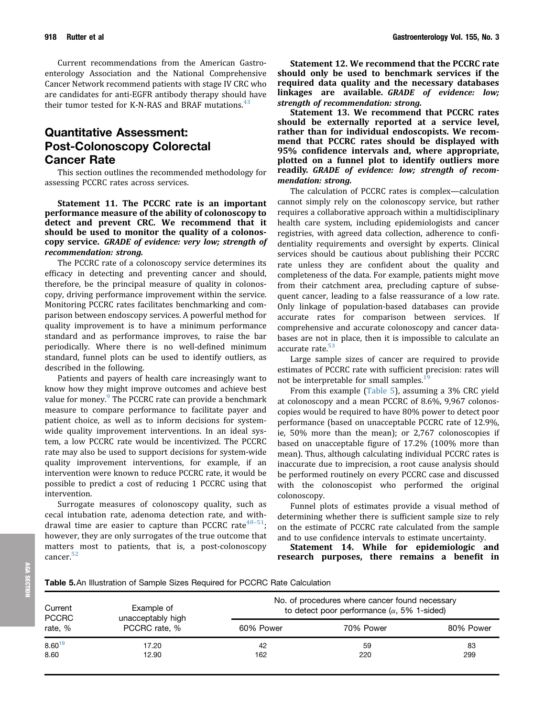Current recommendations from the American Gastroenterology Association and the National Comprehensive Cancer Network recommend patients with stage IV CRC who are candidates for anti-EGFR antibody therapy should have their tumor tested for K-N-RAS and BRAF mutations. $43$ 

## Quantitative Assessment: Post-Colonoscopy Colorectal Cancer Rate

This section outlines the recommended methodology for assessing PCCRC rates across services.

Statement 11. The PCCRC rate is an important performance measure of the ability of colonoscopy to detect and prevent CRC. We recommend that it should be used to monitor the quality of a colonoscopy service. GRADE of evidence: very low; strength of recommendation: strong.

The PCCRC rate of a colonoscopy service determines its efficacy in detecting and preventing cancer and should, therefore, be the principal measure of quality in colonoscopy, driving performance improvement within the service. Monitoring PCCRC rates facilitates benchmarking and comparison between endoscopy services. A powerful method for quality improvement is to have a minimum performance standard and as performance improves, to raise the bar periodically. Where there is no well-defined minimum standard, funnel plots can be used to identify outliers, as described in the following.

Patients and payers of health care increasingly want to know how they might improve outcomes and achieve best value for money.<sup>[9](#page-13-0)</sup> The PCCRC rate can provide a benchmark measure to compare performance to facilitate payer and patient choice, as well as to inform decisions for systemwide quality improvement interventions. In an ideal system, a low PCCRC rate would be incentivized. The PCCRC rate may also be used to support decisions for system-wide quality improvement interventions, for example, if an intervention were known to reduce PCCRC rate, it would be possible to predict a cost of reducing 1 PCCRC using that intervention.

Surrogate measures of colonoscopy quality, such as cecal intubation rate, adenoma detection rate, and withdrawal time are easier to capture than PCCRC rate  $48-51$  $48-51$ ; however, they are only surrogates of the true outcome that matters most to patients, that is, a post-colonoscopy cancer.<sup>[52](#page-15-0)</sup>

Statement 12. We recommend that the PCCRC rate should only be used to benchmark services if the required data quality and the necessary databases linkages are available. GRADE of evidence: low; strength of recommendation: strong.

Statement 13. We recommend that PCCRC rates should be externally reported at a service level, rather than for individual endoscopists. We recommend that PCCRC rates should be displayed with 95% confidence intervals and, where appropriate, plotted on a funnel plot to identify outliers more readily. GRADE of evidence: low; strength of recommendation: strong.

The calculation of PCCRC rates is complex—calculation cannot simply rely on the colonoscopy service, but rather requires a collaborative approach within a multidisciplinary health care system, including epidemiologists and cancer registries, with agreed data collection, adherence to confidentiality requirements and oversight by experts. Clinical services should be cautious about publishing their PCCRC rate unless they are confident about the quality and completeness of the data. For example, patients might move from their catchment area, precluding capture of subsequent cancer, leading to a false reassurance of a low rate. Only linkage of population-based databases can provide accurate rates for comparison between services. If comprehensive and accurate colonoscopy and cancer databases are not in place, then it is impossible to calculate an accurate rate.<sup>53</sup>

Large sample sizes of cancer are required to provide estimates of PCCRC rate with sufficient precision: rates will not be interpretable for small samples. $<sup>1</sup>$ </sup>

From this example (Table 5), assuming a 3% CRC yield at colonoscopy and a mean PCCRC of 8.6%, 9,967 colonoscopies would be required to have 80% power to detect poor performance (based on unacceptable PCCRC rate of 12.9%, ie, 50% more than the mean); or 2,767 colonoscopies if based on unacceptable figure of 17.2% (100% more than mean). Thus, although calculating individual PCCRC rates is inaccurate due to imprecision, a root cause analysis should be performed routinely on every PCCRC case and discussed with the colonoscopist who performed the original colonoscopy.

Funnel plots of estimates provide a visual method of determining whether there is sufficient sample size to rely on the estimate of PCCRC rate calculated from the sample and to use confidence intervals to estimate uncertainty.

Statement 14. While for epidemiologic and research purposes, there remains a benefit in

| Current<br><b>PCCRC</b><br>rate, % | Example of<br>unacceptably high<br>PCCRC rate, % | No. of procedures where cancer found necessary<br>to detect poor performance $(\alpha, 5\%$ 1-sided) |           |           |
|------------------------------------|--------------------------------------------------|------------------------------------------------------------------------------------------------------|-----------|-----------|
|                                    |                                                  | 60% Power                                                                                            | 70% Power | 80% Power |
| $8.60^{19}$                        | 17.20                                            | 42                                                                                                   | 59        | 83        |
| 8.60                               | 12.90                                            | 162                                                                                                  | 220       | 299       |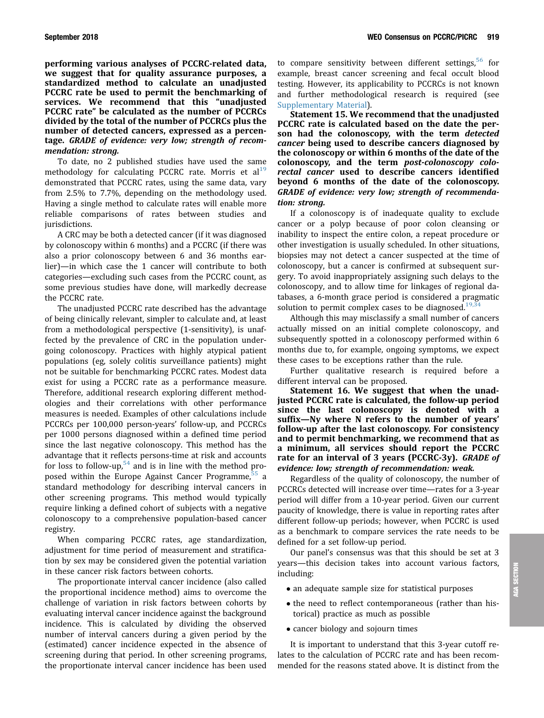performing various analyses of PCCRC-related data, we suggest that for quality assurance purposes, a standardized method to calculate an unadjusted PCCRC rate be used to permit the benchmarking of services. We recommend that this "unadjusted PCCRC rate" be calculated as the number of PCCRCs divided by the total of the number of PCCRCs plus the number of detected cancers, expressed as a percentage. GRADE of evidence: very low; strength of recommendation: strong.

To date, no 2 published studies have used the same methodology for calculating PCCRC rate. Morris et al<sup>[19](#page-14-0)</sup> demonstrated that PCCRC rates, using the same data, vary from 2.5% to 7.7%, depending on the methodology used. Having a single method to calculate rates will enable more reliable comparisons of rates between studies and jurisdictions.

A CRC may be both a detected cancer (if it was diagnosed by colonoscopy within 6 months) and a PCCRC (if there was also a prior colonoscopy between 6 and 36 months earlier)—in which case the 1 cancer will contribute to both categories—excluding such cases from the PCCRC count, as some previous studies have done, will markedly decrease the PCCRC rate.

The unadjusted PCCRC rate described has the advantage of being clinically relevant, simpler to calculate and, at least from a methodological perspective (1-sensitivity), is unaffected by the prevalence of CRC in the population undergoing colonoscopy. Practices with highly atypical patient populations (eg, solely colitis surveillance patients) might not be suitable for benchmarking PCCRC rates. Modest data exist for using a PCCRC rate as a performance measure. Therefore, additional research exploring different methodologies and their correlations with other performance measures is needed. Examples of other calculations include PCCRCs per 100,000 person-years' follow-up, and PCCRCs per 1000 persons diagnosed within a defined time period since the last negative colonoscopy. This method has the advantage that it reflects persons-time at risk and accounts for loss to follow-up,  $54$  and is in line with the method proposed within the Europe Against Cancer Programme,<sup>55</sup> a standard methodology for describing interval cancers in other screening programs. This method would typically require linking a defined cohort of subjects with a negative colonoscopy to a comprehensive population-based cancer registry.

When comparing PCCRC rates, age standardization, adjustment for time period of measurement and stratification by sex may be considered given the potential variation in these cancer risk factors between cohorts.

The proportionate interval cancer incidence (also called the proportional incidence method) aims to overcome the challenge of variation in risk factors between cohorts by evaluating interval cancer incidence against the background incidence. This is calculated by dividing the observed number of interval cancers during a given period by the (estimated) cancer incidence expected in the absence of screening during that period. In other screening programs, the proportionate interval cancer incidence has been used

to compare sensitivity between different settings,<sup>[56](#page-15-0)</sup> for example, breast cancer screening and fecal occult blood testing. However, its applicability to PCCRCs is not known and further methodological research is required (see [Supplementary Material\)](#page-17-0).

Statement 15. We recommend that the unadjusted PCCRC rate is calculated based on the date the person had the colonoscopy, with the term detected cancer being used to describe cancers diagnosed by the colonoscopy or within 6 months of the date of the colonoscopy, and the term post-colonoscopy colorectal cancer used to describe cancers identified beyond 6 months of the date of the colonoscopy. GRADE of evidence: very low; strength of recommendation: strong.

If a colonoscopy is of inadequate quality to exclude cancer or a polyp because of poor colon cleansing or inability to inspect the entire colon, a repeat procedure or other investigation is usually scheduled. In other situations, biopsies may not detect a cancer suspected at the time of colonoscopy, but a cancer is confirmed at subsequent surgery. To avoid inappropriately assigning such delays to the colonoscopy, and to allow time for linkages of regional databases, a 6-month grace period is considered a pragmatic solution to permit complex cases to be diagnosed.<sup>19,3</sup>

Although this may misclassify a small number of cancers actually missed on an initial complete colonoscopy, and subsequently spotted in a colonoscopy performed within 6 months due to, for example, ongoing symptoms, we expect these cases to be exceptions rather than the rule.

Further qualitative research is required before a different interval can be proposed.

Statement 16. We suggest that when the unadjusted PCCRC rate is calculated, the follow-up period since the last colonoscopy is denoted with a suffix—Ny where N refers to the number of years' follow-up after the last colonoscopy. For consistency and to permit benchmarking, we recommend that as a minimum, all services should report the PCCRC rate for an interval of 3 years (PCCRC-3y). GRADE of evidence: low; strength of recommendation: weak.

Regardless of the quality of colonoscopy, the number of PCCRCs detected will increase over time—rates for a 3-year period will differ from a 10-year period. Given our current paucity of knowledge, there is value in reporting rates after different follow-up periods; however, when PCCRC is used as a benchmark to compare services the rate needs to be defined for a set follow-up period.

Our panel's consensus was that this should be set at 3 years—this decision takes into account various factors, including:

- an adequate sample size for statistical purposes
- the need to reflect contemporaneous (rather than historical) practice as much as possible
- cancer biology and sojourn times

It is important to understand that this 3-year cutoff relates to the calculation of PCCRC rate and has been recommended for the reasons stated above. It is distinct from the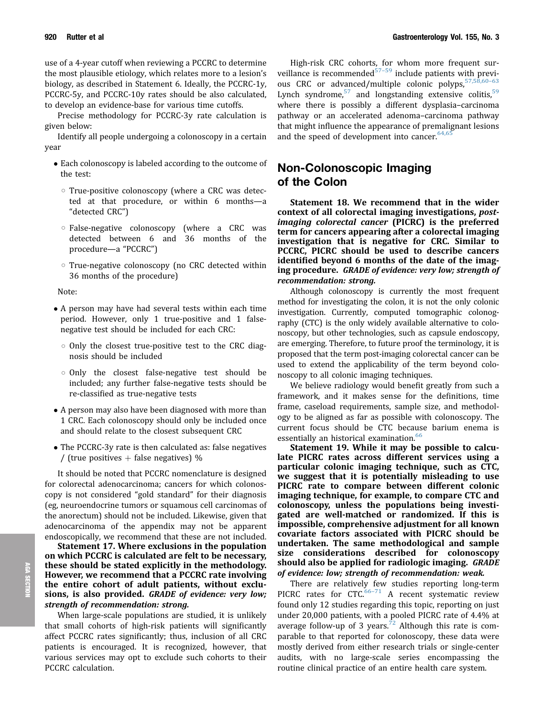use of a 4-year cutoff when reviewing a PCCRC to determine the most plausible etiology, which relates more to a lesion's biology, as described in Statement 6. Ideally, the PCCRC-1y, PCCRC-5y, and PCCRC-10y rates should be also calculated, to develop an evidence-base for various time cutoffs.

Precise methodology for PCCRC-3y rate calculation is given below:

Identify all people undergoing a colonoscopy in a certain year

- Each colonoscopy is labeled according to the outcome of the test:
	- $\circ$  True-positive colonoscopy (where a CRC was detected at that procedure, or within 6 months—a "detected CRC")
	- $\circ$  False-negative colonoscopy (where a CRC was detected between 6 and 36 months of the procedure—a "PCCRC")
	- $\circ$  True-negative colonoscopy (no CRC detected within 36 months of the procedure)

Note:

- A person may have had several tests within each time period. However, only 1 true-positive and 1 falsenegative test should be included for each CRC:
	- $\circ$  Only the closest true-positive test to the CRC diagnosis should be included
	- o Only the closest false-negative test should be included; any further false-negative tests should be re-classified as true-negative tests
- A person may also have been diagnosed with more than 1 CRC. Each colonoscopy should only be included once and should relate to the closest subsequent CRC
- The PCCRC-3y rate is then calculated as: false negatives / (true positives  $+$  false negatives) %

It should be noted that PCCRC nomenclature is designed for colorectal adenocarcinoma; cancers for which colonoscopy is not considered "gold standard" for their diagnosis (eg, neuroendocrine tumors or squamous cell carcinomas of the anorectum) should not be included. Likewise, given that adenocarcinoma of the appendix may not be apparent endoscopically, we recommend that these are not included.

Statement 17. Where exclusions in the population on which PCCRC is calculated are felt to be necessary, these should be stated explicitly in the methodology. However, we recommend that a PCCRC rate involving the entire cohort of adult patients, without exclusions, is also provided. GRADE of evidence: very low; strength of recommendation: strong.

| When large-scale populations are studied, it is unlikely     |
|--------------------------------------------------------------|
| that small cohorts of high-risk patients will significantly  |
| affect PCCRC rates significantly; thus, inclusion of all CRC |
| patients is encouraged. It is recognized, however, that      |
| various services may opt to exclude such cohorts to their    |
| PCCRC calculation.                                           |
|                                                              |

High-risk CRC cohorts, for whom more frequent surveillance is recommended $57-59$  $57-59$  $57-59$  include patients with previ-ous CRC or advanced/multiple colonic polyps, [57,58,60](#page-15-0)-[63](#page-15-0) Lynch syndrome, $57$  and longstanding extensive colitis,  $59$ where there is possibly a different dysplasia–carcinoma pathway or an accelerated adenoma–carcinoma pathway that might influence the appearance of premalignant lesions and the speed of development into cancer.  $64,65$ 

## Non-Colonoscopic Imaging of the Colon

Statement 18. We recommend that in the wider context of all colorectal imaging investigations, postimaging colorectal cancer (PICRC) is the preferred term for cancers appearing after a colorectal imaging investigation that is negative for CRC. Similar to PCCRC, PICRC should be used to describe cancers identified beyond 6 months of the date of the imaging procedure. GRADE of evidence: very low; strength of recommendation: strong.

Although colonoscopy is currently the most frequent method for investigating the colon, it is not the only colonic investigation. Currently, computed tomographic colonography (CTC) is the only widely available alternative to colonoscopy, but other technologies, such as capsule endoscopy, are emerging. Therefore, to future proof the terminology, it is proposed that the term post-imaging colorectal cancer can be used to extend the applicability of the term beyond colonoscopy to all colonic imaging techniques.

We believe radiology would benefit greatly from such a framework, and it makes sense for the definitions, time frame, caseload requirements, sample size, and methodology to be aligned as far as possible with colonoscopy. The current focus should be CTC because barium enema is essentially an historical examination.<sup>[66](#page-15-0)</sup>

Statement 19. While it may be possible to calculate PICRC rates across different services using a particular colonic imaging technique, such as CTC, we suggest that it is potentially misleading to use PICRC rate to compare between different colonic imaging technique, for example, to compare CTC and colonoscopy, unless the populations being investigated are well-matched or randomized. If this is impossible, comprehensive adjustment for all known covariate factors associated with PICRC should be undertaken. The same methodological and sample size considerations described for colonoscopy should also be applied for radiologic imaging. GRADE of evidence: low; strength of recommendation: weak.

There are relatively few studies reporting long-term PICRC rates for CTC.<sup>[66](#page-15-0)–[71](#page-15-0)</sup> A recent systematic review found only 12 studies regarding this topic, reporting on just under 20,000 patients, with a pooled PICRC rate of 4.4% at average follow-up of 3 years.<sup>72</sup> Although this rate is comparable to that reported for colonoscopy, these data were mostly derived from either research trials or single-center audits, with no large-scale series encompassing the routine clinical practice of an entire health care system.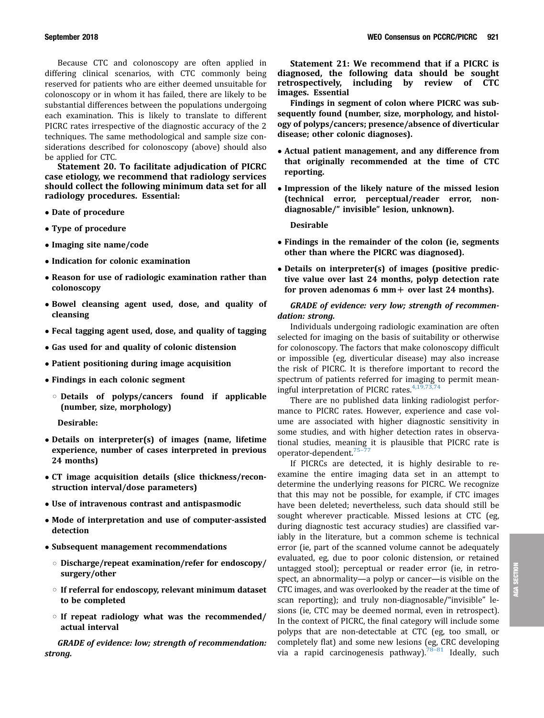Because CTC and colonoscopy are often applied in differing clinical scenarios, with CTC commonly being reserved for patients who are either deemed unsuitable for colonoscopy or in whom it has failed, there are likely to be substantial differences between the populations undergoing each examination. This is likely to translate to different PICRC rates irrespective of the diagnostic accuracy of the 2 techniques. The same methodological and sample size considerations described for colonoscopy (above) should also be applied for CTC.

Statement 20. To facilitate adjudication of PICRC case etiology, we recommend that radiology services should collect the following minimum data set for all radiology procedures. Essential:

- Date of procedure
- Type of procedure
- Imaging site name/code
- Indication for colonic examination
- Reason for use of radiologic examination rather than colonoscopy
- Bowel cleansing agent used, dose, and quality of cleansing
- Fecal tagging agent used, dose, and quality of tagging
- Gas used for and quality of colonic distension
- Patient positioning during image acquisition
- Findings in each colonic segment
	- $\circ$  Details of polyps/cancers found if applicable (number, size, morphology)

Desirable:

- Details on interpreter(s) of images (name, lifetime experience, number of cases interpreted in previous 24 months)
- CT image acquisition details (slice thickness/reconstruction interval/dose parameters)
- Use of intravenous contrast and antispasmodic
- Mode of interpretation and use of computer-assisted detection
- Subsequent management recommendations
	- $\circ$  Discharge/repeat examination/refer for endoscopy/ surgery/other
	- $\circ$  If referral for endoscopy, relevant minimum dataset to be completed
	- $\circ$  If repeat radiology what was the recommended/ actual interval

GRADE of evidence: low; strength of recommendation: strong.

Statement 21: We recommend that if a PICRC is diagnosed, the following data should be sought retrospectively, including by review of CTC images. Essential

Findings in segment of colon where PICRC was subsequently found (number, size, morphology, and histology of polyps/cancers; presence/absence of diverticular disease; other colonic diagnoses).

- Actual patient management, and any difference from that originally recommended at the time of CTC reporting.
- Impression of the likely nature of the missed lesion (technical error, perceptual/reader error, nondiagnosable/" invisible" lesion, unknown).

Desirable

- Findings in the remainder of the colon (ie, segments other than where the PICRC was diagnosed).
- Details on interpreter(s) of images (positive predictive value over last 24 months, polyp detection rate for proven adenomas  $6 \text{ mm} + \text{ over last } 24 \text{ months}.$

#### GRADE of evidence: very low; strength of recommendation: strong.

Individuals undergoing radiologic examination are often selected for imaging on the basis of suitability or otherwise for colonoscopy. The factors that make colonoscopy difficult or impossible (eg, diverticular disease) may also increase the risk of PICRC. It is therefore important to record the spectrum of patients referred for imaging to permit meaningful interpretation of PICRC rates. $4,1\overline{9},73$ 

There are no published data linking radiologist performance to PICRC rates. However, experience and case volume are associated with higher diagnostic sensitivity in some studies, and with higher detection rates in observational studies, meaning it is plausible that PICRC rate is operator-dependent.[75](#page-16-0)–[77](#page-16-0)

If PICRCs are detected, it is highly desirable to reexamine the entire imaging data set in an attempt to determine the underlying reasons for PICRC. We recognize that this may not be possible, for example, if CTC images have been deleted; nevertheless, such data should still be sought wherever practicable. Missed lesions at CTC (eg, during diagnostic test accuracy studies) are classified variably in the literature, but a common scheme is technical error (ie, part of the scanned volume cannot be adequately evaluated, eg, due to poor colonic distension, or retained untagged stool); perceptual or reader error (ie, in retrospect, an abnormality—a polyp or cancer—is visible on the CTC images, and was overlooked by the reader at the time of scan reporting); and truly non-diagnosable/"invisible" lesions (ie, CTC may be deemed normal, even in retrospect). In the context of PICRC, the final category will include some polyps that are non-detectable at CTC (eg, too small, or completely flat) and some new lesions (eg, CRC developing via a rapid carcinogenesis pathway).<sup>[78](#page-16-0)-[81](#page-16-0)</sup> Ideally, such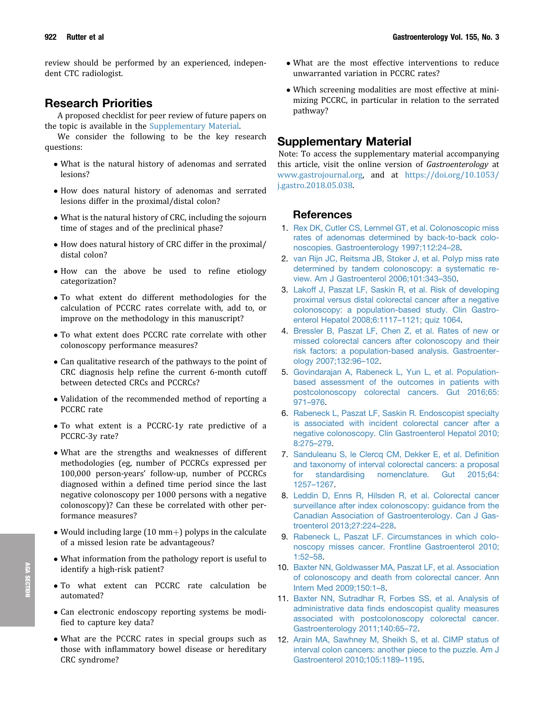<span id="page-13-0"></span>review should be performed by an experienced, independent CTC radiologist.

## Research Priorities

A proposed checklist for peer review of future papers on the topic is available in the [Supplementary Material](#page-17-0).

We consider the following to be the key research questions:

- What is the natural history of adenomas and serrated lesions?
- How does natural history of adenomas and serrated lesions differ in the proximal/distal colon?
- What is the natural history of CRC, including the sojourn time of stages and of the preclinical phase?
- How does natural history of CRC differ in the proximal/ distal colon?
- How can the above be used to refine etiology categorization?
- To what extent do different methodologies for the calculation of PCCRC rates correlate with, add to, or improve on the methodology in this manuscript?
- To what extent does PCCRC rate correlate with other colonoscopy performance measures?
- Can qualitative research of the pathways to the point of CRC diagnosis help refine the current 6-month cutoff between detected CRCs and PCCRCs?
- Validation of the recommended method of reporting a PCCRC rate
- To what extent is a PCCRC-1y rate predictive of a PCCRC-3y rate?
- What are the strengths and weaknesses of different methodologies (eg, number of PCCRCs expressed per 100,000 person-years' follow-up, number of PCCRCs diagnosed within a defined time period since the last negative colonoscopy per 1000 persons with a negative colonoscopy)? Can these be correlated with other performance measures?
- Would including large (10 mm+) polyps in the calculate of a missed lesion rate be advantageous?
- What information from the pathology report is useful to identify a high-risk patient?
- To what extent can PCCRC rate calculation be automated?
- Can electronic endoscopy reporting systems be modified to capture key data?
- What are the PCCRC rates in special groups such as those with inflammatory bowel disease or hereditary CRC syndrome?
- What are the most effective interventions to reduce unwarranted variation in PCCRC rates?
- Which screening modalities are most effective at minimizing PCCRC, in particular in relation to the serrated pathway?

## Supplementary Material

Note: To access the supplementary material accompanying this article, visit the online version of Gastroenterology at [www.gastrojournal.org,](http://www.gastrojournal.org) and at [https://doi.org/10.1053/](https://doi.org/10.1053/j.gastro.2018.05.038) [j.gastro.2018.05.038](https://doi.org/10.1053/j.gastro.2018.05.038).

#### References

- 1. [Rex DK, Cutler CS, Lemmel GT, et al. Colonoscopic miss](http://refhub.elsevier.com/S0016-5085(18)34571-2/sref1) [rates of adenomas determined by back-to-back colo](http://refhub.elsevier.com/S0016-5085(18)34571-2/sref1)[noscopies. Gastroenterology 1997;112:24](http://refhub.elsevier.com/S0016-5085(18)34571-2/sref1)–[28](http://refhub.elsevier.com/S0016-5085(18)34571-2/sref1).
- 2. [van Rijn JC, Reitsma JB, Stoker J, et al. Polyp miss rate](http://refhub.elsevier.com/S0016-5085(18)34571-2/sref2) [determined by tandem colonoscopy: a systematic re](http://refhub.elsevier.com/S0016-5085(18)34571-2/sref2)[view. Am J Gastroenterol 2006;101:343](http://refhub.elsevier.com/S0016-5085(18)34571-2/sref2)–[350](http://refhub.elsevier.com/S0016-5085(18)34571-2/sref2).
- 3. [Lakoff J, Paszat LF, Saskin R, et al. Risk of developing](http://refhub.elsevier.com/S0016-5085(18)34571-2/sref3) [proximal versus distal colorectal cancer after a negative](http://refhub.elsevier.com/S0016-5085(18)34571-2/sref3) [colonoscopy: a population-based study. Clin Gastro](http://refhub.elsevier.com/S0016-5085(18)34571-2/sref3)[enterol Hepatol 2008;6:1117](http://refhub.elsevier.com/S0016-5085(18)34571-2/sref3)–[1121; quiz 1064.](http://refhub.elsevier.com/S0016-5085(18)34571-2/sref3)
- 4. [Bressler B, Paszat LF, Chen Z, et al. Rates of new or](http://refhub.elsevier.com/S0016-5085(18)34571-2/sref4) [missed colorectal cancers after colonoscopy and their](http://refhub.elsevier.com/S0016-5085(18)34571-2/sref4) [risk factors: a population-based analysis. Gastroenter](http://refhub.elsevier.com/S0016-5085(18)34571-2/sref4)[ology 2007;132:96](http://refhub.elsevier.com/S0016-5085(18)34571-2/sref4)–[102.](http://refhub.elsevier.com/S0016-5085(18)34571-2/sref4)
- 5. [Govindarajan A, Rabeneck L, Yun L, et al. Population](http://refhub.elsevier.com/S0016-5085(18)34571-2/sref5)[based assessment of the outcomes in patients with](http://refhub.elsevier.com/S0016-5085(18)34571-2/sref5) [postcolonoscopy colorectal cancers. Gut 2016;65:](http://refhub.elsevier.com/S0016-5085(18)34571-2/sref5) [971](http://refhub.elsevier.com/S0016-5085(18)34571-2/sref5)–[976.](http://refhub.elsevier.com/S0016-5085(18)34571-2/sref5)
- 6. [Rabeneck L, Paszat LF, Saskin R. Endoscopist specialty](http://refhub.elsevier.com/S0016-5085(18)34571-2/sref6) [is associated with incident colorectal cancer after a](http://refhub.elsevier.com/S0016-5085(18)34571-2/sref6) [negative colonoscopy. Clin Gastroenterol Hepatol 2010;](http://refhub.elsevier.com/S0016-5085(18)34571-2/sref6) [8:275](http://refhub.elsevier.com/S0016-5085(18)34571-2/sref6)–[279.](http://refhub.elsevier.com/S0016-5085(18)34571-2/sref6)
- 7. [Sanduleanu S, le Clercq CM, Dekker E, et al. De](http://refhub.elsevier.com/S0016-5085(18)34571-2/sref7)finition [and taxonomy of interval colorectal cancers: a proposal](http://refhub.elsevier.com/S0016-5085(18)34571-2/sref7) [for standardising nomenclature. Gut 2015;64:](http://refhub.elsevier.com/S0016-5085(18)34571-2/sref7) [1257](http://refhub.elsevier.com/S0016-5085(18)34571-2/sref7)–[1267](http://refhub.elsevier.com/S0016-5085(18)34571-2/sref7).
- 8. [Leddin D, Enns R, Hilsden R, et al. Colorectal cancer](http://refhub.elsevier.com/S0016-5085(18)34571-2/sref8) [surveillance after index colonoscopy: guidance from the](http://refhub.elsevier.com/S0016-5085(18)34571-2/sref8) [Canadian Association of Gastroenterology. Can J Gas](http://refhub.elsevier.com/S0016-5085(18)34571-2/sref8)[troenterol 2013;27:224](http://refhub.elsevier.com/S0016-5085(18)34571-2/sref8)–[228](http://refhub.elsevier.com/S0016-5085(18)34571-2/sref8).
- 9. [Rabeneck L, Paszat LF. Circumstances in which colo](http://refhub.elsevier.com/S0016-5085(18)34571-2/sref9)[noscopy misses cancer. Frontline Gastroenterol 2010;](http://refhub.elsevier.com/S0016-5085(18)34571-2/sref9) [1:52](http://refhub.elsevier.com/S0016-5085(18)34571-2/sref9)–[58](http://refhub.elsevier.com/S0016-5085(18)34571-2/sref9).
- 10. [Baxter NN, Goldwasser MA, Paszat LF, et al. Association](http://refhub.elsevier.com/S0016-5085(18)34571-2/sref10) [of colonoscopy and death from colorectal cancer. Ann](http://refhub.elsevier.com/S0016-5085(18)34571-2/sref10) [Intern Med 2009;150:1](http://refhub.elsevier.com/S0016-5085(18)34571-2/sref10)–[8.](http://refhub.elsevier.com/S0016-5085(18)34571-2/sref10)
- 11. [Baxter NN, Sutradhar R, Forbes SS, et al. Analysis of](http://refhub.elsevier.com/S0016-5085(18)34571-2/sref11) administrative data fi[nds endoscopist quality measures](http://refhub.elsevier.com/S0016-5085(18)34571-2/sref11) [associated with postcolonoscopy colorectal cancer.](http://refhub.elsevier.com/S0016-5085(18)34571-2/sref11) [Gastroenterology 2011;140:65](http://refhub.elsevier.com/S0016-5085(18)34571-2/sref11)–[72.](http://refhub.elsevier.com/S0016-5085(18)34571-2/sref11)
- 12. [Arain MA, Sawhney M, Sheikh S, et al. CIMP status of](http://refhub.elsevier.com/S0016-5085(18)34571-2/sref12) [interval colon cancers: another piece to the puzzle. Am J](http://refhub.elsevier.com/S0016-5085(18)34571-2/sref12) [Gastroenterol 2010;105:1189](http://refhub.elsevier.com/S0016-5085(18)34571-2/sref12)–[1195](http://refhub.elsevier.com/S0016-5085(18)34571-2/sref12).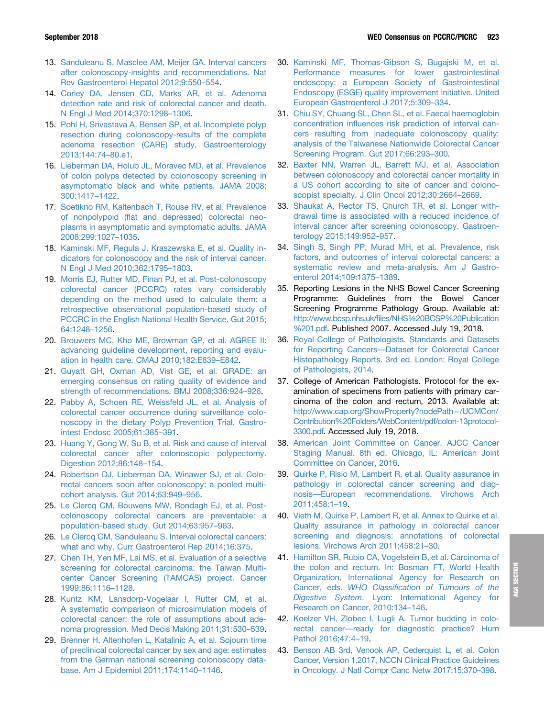- <span id="page-14-0"></span>13. [Sanduleanu S, Masclee AM, Meijer GA. Interval cancers](http://refhub.elsevier.com/S0016-5085(18)34571-2/sref13) [after colonoscopy-insights and recommendations. Nat](http://refhub.elsevier.com/S0016-5085(18)34571-2/sref13) [Rev Gastroenterol Hepatol 2012;9:550](http://refhub.elsevier.com/S0016-5085(18)34571-2/sref13)–[554](http://refhub.elsevier.com/S0016-5085(18)34571-2/sref13).
- 14. [Corley DA, Jensen CD, Marks AR, et al. Adenoma](http://refhub.elsevier.com/S0016-5085(18)34571-2/sref14) [detection rate and risk of colorectal cancer and death.](http://refhub.elsevier.com/S0016-5085(18)34571-2/sref14) [N Engl J Med 2014;370:1298](http://refhub.elsevier.com/S0016-5085(18)34571-2/sref14)–[1306](http://refhub.elsevier.com/S0016-5085(18)34571-2/sref14).
- 15. [Pohl H, Srivastava A, Bensen SP, et al. Incomplete polyp](http://refhub.elsevier.com/S0016-5085(18)34571-2/sref15) [resection during colonoscopy-results of the complete](http://refhub.elsevier.com/S0016-5085(18)34571-2/sref15) [adenoma resection \(CARE\) study. Gastroenterology](http://refhub.elsevier.com/S0016-5085(18)34571-2/sref15) [2013;144:74](http://refhub.elsevier.com/S0016-5085(18)34571-2/sref15)–[80.e1](http://refhub.elsevier.com/S0016-5085(18)34571-2/sref15).
- 16. [Lieberman DA, Holub JL, Moravec MD, et al. Prevalence](http://refhub.elsevier.com/S0016-5085(18)34571-2/sref16) [of colon polyps detected by colonoscopy screening in](http://refhub.elsevier.com/S0016-5085(18)34571-2/sref16) [asymptomatic black and white patients. JAMA 2008;](http://refhub.elsevier.com/S0016-5085(18)34571-2/sref16) [300:1417](http://refhub.elsevier.com/S0016-5085(18)34571-2/sref16)–[1422.](http://refhub.elsevier.com/S0016-5085(18)34571-2/sref16)
- 17. [Soetikno RM, Kaltenbach T, Rouse RV, et al. Prevalence](http://refhub.elsevier.com/S0016-5085(18)34571-2/sref17) of nonpolypoid (fl[at and depressed\) colorectal neo](http://refhub.elsevier.com/S0016-5085(18)34571-2/sref17)[plasms in asymptomatic and symptomatic adults. JAMA](http://refhub.elsevier.com/S0016-5085(18)34571-2/sref17) [2008;299:1027](http://refhub.elsevier.com/S0016-5085(18)34571-2/sref17)–[1035.](http://refhub.elsevier.com/S0016-5085(18)34571-2/sref17)
- 18. [Kaminski MF, Regula J, Kraszewska E, et al. Quality in](http://refhub.elsevier.com/S0016-5085(18)34571-2/sref18)[dicators for colonoscopy and the risk of interval cancer.](http://refhub.elsevier.com/S0016-5085(18)34571-2/sref18) [N Engl J Med 2010;362:1795](http://refhub.elsevier.com/S0016-5085(18)34571-2/sref18)–[1803](http://refhub.elsevier.com/S0016-5085(18)34571-2/sref18).
- 19. [Morris EJ, Rutter MD, Finan PJ, et al. Post-colonoscopy](http://refhub.elsevier.com/S0016-5085(18)34571-2/sref19) [colorectal cancer \(PCCRC\) rates vary considerably](http://refhub.elsevier.com/S0016-5085(18)34571-2/sref19) [depending on the method used to calculate them: a](http://refhub.elsevier.com/S0016-5085(18)34571-2/sref19) [retrospective observational population-based study of](http://refhub.elsevier.com/S0016-5085(18)34571-2/sref19) [PCCRC in the English National Health Service. Gut 2015;](http://refhub.elsevier.com/S0016-5085(18)34571-2/sref19) [64:1248](http://refhub.elsevier.com/S0016-5085(18)34571-2/sref19)–[1256.](http://refhub.elsevier.com/S0016-5085(18)34571-2/sref19)
- 20. [Brouwers MC, Kho ME, Browman GP, et al. AGREE II:](http://refhub.elsevier.com/S0016-5085(18)34571-2/sref20) [advancing guideline development, reporting and evalu](http://refhub.elsevier.com/S0016-5085(18)34571-2/sref20)[ation in health care. CMAJ 2010;182:E839](http://refhub.elsevier.com/S0016-5085(18)34571-2/sref20)–[E842.](http://refhub.elsevier.com/S0016-5085(18)34571-2/sref20)
- 21. [Guyatt GH, Oxman AD, Vist GE, et al. GRADE: an](http://refhub.elsevier.com/S0016-5085(18)34571-2/sref21) [emerging consensus on rating quality of evidence and](http://refhub.elsevier.com/S0016-5085(18)34571-2/sref21) [strength of recommendations. BMJ 2008;336:924](http://refhub.elsevier.com/S0016-5085(18)34571-2/sref21)–[926.](http://refhub.elsevier.com/S0016-5085(18)34571-2/sref21)
- 22. [Pabby A, Schoen RE, Weissfeld JL, et al. Analysis of](http://refhub.elsevier.com/S0016-5085(18)34571-2/sref22) [colorectal cancer occurrence during surveillance colo](http://refhub.elsevier.com/S0016-5085(18)34571-2/sref22)[noscopy in the dietary Polyp Prevention Trial. Gastro](http://refhub.elsevier.com/S0016-5085(18)34571-2/sref22)[intest Endosc 2005;61:385](http://refhub.elsevier.com/S0016-5085(18)34571-2/sref22)–[391.](http://refhub.elsevier.com/S0016-5085(18)34571-2/sref22)
- 23. [Huang Y, Gong W, Su B, et al. Risk and cause of interval](http://refhub.elsevier.com/S0016-5085(18)34571-2/sref23) [colorectal cancer after colonoscopic polypectomy.](http://refhub.elsevier.com/S0016-5085(18)34571-2/sref23) [Digestion 2012;86:148](http://refhub.elsevier.com/S0016-5085(18)34571-2/sref23)–[154.](http://refhub.elsevier.com/S0016-5085(18)34571-2/sref23)
- 24. [Robertson DJ, Lieberman DA, Winawer SJ, et al. Colo](http://refhub.elsevier.com/S0016-5085(18)34571-2/sref24)[rectal cancers soon after colonoscopy: a pooled multi](http://refhub.elsevier.com/S0016-5085(18)34571-2/sref24)[cohort analysis. Gut 2014;63:949](http://refhub.elsevier.com/S0016-5085(18)34571-2/sref24)–[956](http://refhub.elsevier.com/S0016-5085(18)34571-2/sref24).
- 25. [Le Clercq CM, Bouwens MW, Rondagh EJ, et al. Post](http://refhub.elsevier.com/S0016-5085(18)34571-2/sref25)[colonoscopy colorectal cancers are preventable: a](http://refhub.elsevier.com/S0016-5085(18)34571-2/sref25) [population-based study. Gut 2014;63:957](http://refhub.elsevier.com/S0016-5085(18)34571-2/sref25)–[963.](http://refhub.elsevier.com/S0016-5085(18)34571-2/sref25)
- 26. [Le Clercq CM, Sanduleanu S. Interval colorectal cancers:](http://refhub.elsevier.com/S0016-5085(18)34571-2/sref26) [what and why. Curr Gastroenterol Rep 2014;16:375.](http://refhub.elsevier.com/S0016-5085(18)34571-2/sref26)
- 27. [Chen TH, Yen MF, Lai MS, et al. Evaluation of a selective](http://refhub.elsevier.com/S0016-5085(18)34571-2/sref27) [screening for colorectal carcinoma: the Taiwan Multi](http://refhub.elsevier.com/S0016-5085(18)34571-2/sref27)[center Cancer Screening \(TAMCAS\) project. Cancer](http://refhub.elsevier.com/S0016-5085(18)34571-2/sref27) [1999;86:1116](http://refhub.elsevier.com/S0016-5085(18)34571-2/sref27)–[1128.](http://refhub.elsevier.com/S0016-5085(18)34571-2/sref27)
- 28. [Kuntz KM, Lansdorp-Vogelaar I, Rutter CM, et al.](http://refhub.elsevier.com/S0016-5085(18)34571-2/sref28) [A systematic comparison of microsimulation models of](http://refhub.elsevier.com/S0016-5085(18)34571-2/sref28) [colorectal cancer: the role of assumptions about ade](http://refhub.elsevier.com/S0016-5085(18)34571-2/sref28)[noma progression. Med Decis Making 2011;31:530](http://refhub.elsevier.com/S0016-5085(18)34571-2/sref28)–[539.](http://refhub.elsevier.com/S0016-5085(18)34571-2/sref28)
- 29. [Brenner H, Altenhofen L, Katalinic A, et al. Sojourn time](http://refhub.elsevier.com/S0016-5085(18)34571-2/sref29) [of preclinical colorectal cancer by sex and age: estimates](http://refhub.elsevier.com/S0016-5085(18)34571-2/sref29) [from the German national screening colonoscopy data](http://refhub.elsevier.com/S0016-5085(18)34571-2/sref29)[base. Am J Epidemiol 2011;174:1140](http://refhub.elsevier.com/S0016-5085(18)34571-2/sref29)–[1146.](http://refhub.elsevier.com/S0016-5085(18)34571-2/sref29)
- 30. [Kaminski MF, Thomas-Gibson S, Bugajski M, et al.](http://refhub.elsevier.com/S0016-5085(18)34571-2/sref30) [Performance measures for lower gastrointestinal](http://refhub.elsevier.com/S0016-5085(18)34571-2/sref30) [endoscopy: a European Society of Gastrointestinal](http://refhub.elsevier.com/S0016-5085(18)34571-2/sref30) [Endoscopy \(ESGE\) quality improvement initiative. United](http://refhub.elsevier.com/S0016-5085(18)34571-2/sref30) [European Gastroenterol J 2017;5:309](http://refhub.elsevier.com/S0016-5085(18)34571-2/sref30)–[334.](http://refhub.elsevier.com/S0016-5085(18)34571-2/sref30)
- 31. [Chiu SY, Chuang SL, Chen SL, et al. Faecal haemoglobin](http://refhub.elsevier.com/S0016-5085(18)34571-2/sref31) concentration infl[uences risk prediction of interval can](http://refhub.elsevier.com/S0016-5085(18)34571-2/sref31)[cers resulting from inadequate colonoscopy quality:](http://refhub.elsevier.com/S0016-5085(18)34571-2/sref31) [analysis of the Taiwanese Nationwide Colorectal Cancer](http://refhub.elsevier.com/S0016-5085(18)34571-2/sref31) [Screening Program. Gut 2017;66:293](http://refhub.elsevier.com/S0016-5085(18)34571-2/sref31)–[300](http://refhub.elsevier.com/S0016-5085(18)34571-2/sref31).
- 32. [Baxter NN, Warren JL, Barrett MJ, et al. Association](http://refhub.elsevier.com/S0016-5085(18)34571-2/sref32) [between colonoscopy and colorectal cancer mortality in](http://refhub.elsevier.com/S0016-5085(18)34571-2/sref32) [a US cohort according to site of cancer and colono](http://refhub.elsevier.com/S0016-5085(18)34571-2/sref32)[scopist specialty. J Clin Oncol 2012;30:2664](http://refhub.elsevier.com/S0016-5085(18)34571-2/sref32)–[2669.](http://refhub.elsevier.com/S0016-5085(18)34571-2/sref32)
- 33. [Shaukat A, Rector TS, Church TR, et al. Longer with](http://refhub.elsevier.com/S0016-5085(18)34571-2/sref33)[drawal time is associated with a reduced incidence of](http://refhub.elsevier.com/S0016-5085(18)34571-2/sref33) [interval cancer after screening colonoscopy. Gastroen](http://refhub.elsevier.com/S0016-5085(18)34571-2/sref33)[terology 2015;149:952](http://refhub.elsevier.com/S0016-5085(18)34571-2/sref33)–[957](http://refhub.elsevier.com/S0016-5085(18)34571-2/sref33).
- 34. [Singh S, Singh PP, Murad MH, et al. Prevalence, risk](http://refhub.elsevier.com/S0016-5085(18)34571-2/sref34) [factors, and outcomes of interval colorectal cancers: a](http://refhub.elsevier.com/S0016-5085(18)34571-2/sref34) [systematic review and meta-analysis. Am J Gastro](http://refhub.elsevier.com/S0016-5085(18)34571-2/sref34)[enterol 2014;109:1375](http://refhub.elsevier.com/S0016-5085(18)34571-2/sref34)–[1389](http://refhub.elsevier.com/S0016-5085(18)34571-2/sref34).
- 35. Reporting Lesions in the NHS Bowel Cancer Screening Programme: Guidelines from the Bowel Cancer Screening Programme Pathology Group. Available at: http://www.bcsp.nhs.uk/fi[les/NHS%20BCSP%20Publication](http://www.bcsp.nhs.uk/files/NHS%20BCSP%20Publication%201.pdf) [%201.pdf](http://www.bcsp.nhs.uk/files/NHS%20BCSP%20Publication%201.pdf). Published 2007. Accessed July 19, 2018.
- 36. [Royal College of Pathologists. Standards and Datasets](http://refhub.elsevier.com/S0016-5085(18)34571-2/sref36) [for Reporting Cancers](http://refhub.elsevier.com/S0016-5085(18)34571-2/sref36)—[Dataset for Colorectal Cancer](http://refhub.elsevier.com/S0016-5085(18)34571-2/sref36) [Histopathology Reports. 3rd ed. London: Royal College](http://refhub.elsevier.com/S0016-5085(18)34571-2/sref36) [of Pathologists, 2014.](http://refhub.elsevier.com/S0016-5085(18)34571-2/sref36)
- 37. College of American Pathologists. Protocol for the examination of specimens from patients with primary carcinoma of the colon and rectum, 2013. Available at: [http://www.cap.org/ShowProperty?nodePath](http://www.cap.org/ShowProperty?nodePath=/UCMCon/Contribution%20Folders/WebContent/pdf/colon-13protocol-3300.pdf)=[/UCMCon/](http://www.cap.org/ShowProperty?nodePath=/UCMCon/Contribution%20Folders/WebContent/pdf/colon-13protocol-3300.pdf) [Contribution%20Folders/WebContent/pdf/colon-13protocol-](http://www.cap.org/ShowProperty?nodePath=/UCMCon/Contribution%20Folders/WebContent/pdf/colon-13protocol-3300.pdf)[3300.pdf](http://www.cap.org/ShowProperty?nodePath=/UCMCon/Contribution%20Folders/WebContent/pdf/colon-13protocol-3300.pdf). Accessed July 19, 2018.
- 38. [American Joint Committee on Cancer. AJCC Cancer](http://refhub.elsevier.com/S0016-5085(18)34571-2/sref38) [Staging Manual. 8th ed. Chicago, IL: American Joint](http://refhub.elsevier.com/S0016-5085(18)34571-2/sref38) [Committee on Cancer, 2016.](http://refhub.elsevier.com/S0016-5085(18)34571-2/sref38)
- 39. [Quirke P, Risio M, Lambert R, et al. Quality assurance in](http://refhub.elsevier.com/S0016-5085(18)34571-2/sref39) [pathology in colorectal cancer screening and diag](http://refhub.elsevier.com/S0016-5085(18)34571-2/sref39)[nosis](http://refhub.elsevier.com/S0016-5085(18)34571-2/sref39)—[European recommendations. Virchows Arch](http://refhub.elsevier.com/S0016-5085(18)34571-2/sref39) [2011;458:1](http://refhub.elsevier.com/S0016-5085(18)34571-2/sref39)–[19](http://refhub.elsevier.com/S0016-5085(18)34571-2/sref39).
- 40. [Vieth M, Quirke P, Lambert R, et al. Annex to Quirke et al.](http://refhub.elsevier.com/S0016-5085(18)34571-2/sref40) [Quality assurance in pathology in colorectal cancer](http://refhub.elsevier.com/S0016-5085(18)34571-2/sref40) [screening and diagnosis: annotations of colorectal](http://refhub.elsevier.com/S0016-5085(18)34571-2/sref40) [lesions. Virchows Arch 2011;458:21](http://refhub.elsevier.com/S0016-5085(18)34571-2/sref40)–[30.](http://refhub.elsevier.com/S0016-5085(18)34571-2/sref40)
- 41. [Hamilton SR, Rubio CA, Vogelstein B, et al. Carcinoma of](http://refhub.elsevier.com/S0016-5085(18)34571-2/sref41) [the colon and rectum. In: Bosman FT, World Health](http://refhub.elsevier.com/S0016-5085(18)34571-2/sref41) [Organization, International Agency for Research on](http://refhub.elsevier.com/S0016-5085(18)34571-2/sref41) Cancer, eds. WHO Classifi[cation of Tumours of the](http://refhub.elsevier.com/S0016-5085(18)34571-2/sref41) Digestive System[. Lyon: International Agency for](http://refhub.elsevier.com/S0016-5085(18)34571-2/sref41) [Research on Cancer, 2010:134](http://refhub.elsevier.com/S0016-5085(18)34571-2/sref41)–[146](http://refhub.elsevier.com/S0016-5085(18)34571-2/sref41).
- 42. [Koelzer VH, Zlobec I, Lugli A. Tumor budding in colo](http://refhub.elsevier.com/S0016-5085(18)34571-2/sref42)[rectal cancer](http://refhub.elsevier.com/S0016-5085(18)34571-2/sref42)—[ready for diagnostic practice? Hum](http://refhub.elsevier.com/S0016-5085(18)34571-2/sref42) [Pathol 2016;47:4](http://refhub.elsevier.com/S0016-5085(18)34571-2/sref42)–[19.](http://refhub.elsevier.com/S0016-5085(18)34571-2/sref42)
- 43. [Benson AB 3rd, Venook AP, Cederquist L, et al. Colon](http://refhub.elsevier.com/S0016-5085(18)34571-2/sref43) [Cancer, Version 1.2017, NCCN Clinical Practice Guidelines](http://refhub.elsevier.com/S0016-5085(18)34571-2/sref43) [in Oncology. J Natl Compr Canc Netw 2017;15:370](http://refhub.elsevier.com/S0016-5085(18)34571-2/sref43)–[398.](http://refhub.elsevier.com/S0016-5085(18)34571-2/sref43)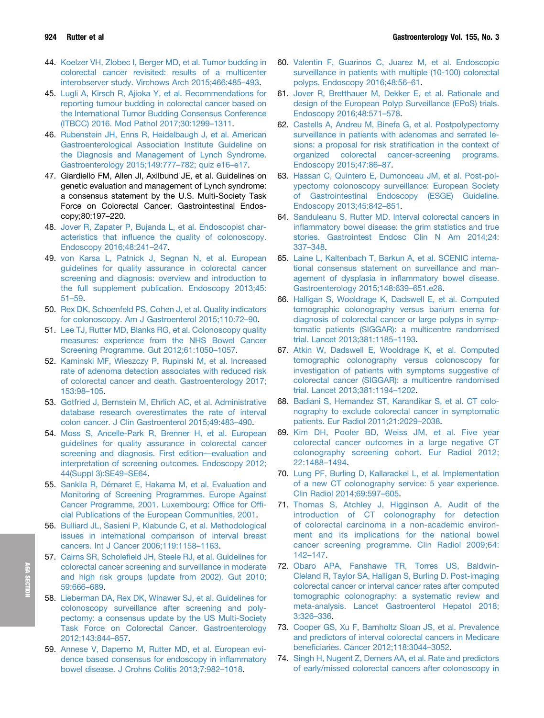- <span id="page-15-0"></span>44. [Koelzer VH, Zlobec I, Berger MD, et al. Tumor budding in](http://refhub.elsevier.com/S0016-5085(18)34571-2/sref44) [colorectal cancer revisited: results of a multicenter](http://refhub.elsevier.com/S0016-5085(18)34571-2/sref44) [interobserver study. Virchows Arch 2015;466:485](http://refhub.elsevier.com/S0016-5085(18)34571-2/sref44)–[493](http://refhub.elsevier.com/S0016-5085(18)34571-2/sref44).
- 45. [Lugli A, Kirsch R, Ajioka Y, et al. Recommendations for](http://refhub.elsevier.com/S0016-5085(18)34571-2/sref45) [reporting tumour budding in colorectal cancer based on](http://refhub.elsevier.com/S0016-5085(18)34571-2/sref45) [the International Tumor Budding Consensus Conference](http://refhub.elsevier.com/S0016-5085(18)34571-2/sref45) [\(ITBCC\) 2016. Mod Pathol 2017;30:1299](http://refhub.elsevier.com/S0016-5085(18)34571-2/sref45)–[1311](http://refhub.elsevier.com/S0016-5085(18)34571-2/sref45).
- 46. [Rubenstein JH, Enns R, Heidelbaugh J, et al. American](http://refhub.elsevier.com/S0016-5085(18)34571-2/sref46) [Gastroenterological Association Institute Guideline on](http://refhub.elsevier.com/S0016-5085(18)34571-2/sref46) [the Diagnosis and Management of Lynch Syndrome.](http://refhub.elsevier.com/S0016-5085(18)34571-2/sref46) [Gastroenterology 2015;149:777](http://refhub.elsevier.com/S0016-5085(18)34571-2/sref46)–[782; quiz e16](http://refhub.elsevier.com/S0016-5085(18)34571-2/sref46)–[e17](http://refhub.elsevier.com/S0016-5085(18)34571-2/sref46).
- 47. Giardiello FM, Allen JI, Axilbund JE, et al. Guidelines on genetic evaluation and management of Lynch syndrome: a consensus statement by the U.S. Multi-Society Task Force on Colorectal Cancer. Gastrointestinal Endoscopy;80:197–220.
- 48. [Jover R, Zapater P, Bujanda L, et al. Endoscopist char](http://refhub.elsevier.com/S0016-5085(18)34571-2/sref48)acteristics that infl[uence the quality of colonoscopy.](http://refhub.elsevier.com/S0016-5085(18)34571-2/sref48) [Endoscopy 2016;48:241](http://refhub.elsevier.com/S0016-5085(18)34571-2/sref48)–[247.](http://refhub.elsevier.com/S0016-5085(18)34571-2/sref48)
- 49. [von Karsa L, Patnick J, Segnan N, et al. European](http://refhub.elsevier.com/S0016-5085(18)34571-2/sref49) [guidelines for quality assurance in colorectal cancer](http://refhub.elsevier.com/S0016-5085(18)34571-2/sref49) [screening and diagnosis: overview and introduction to](http://refhub.elsevier.com/S0016-5085(18)34571-2/sref49) [the full supplement publication. Endoscopy 2013;45:](http://refhub.elsevier.com/S0016-5085(18)34571-2/sref49) [51](http://refhub.elsevier.com/S0016-5085(18)34571-2/sref49)–[59.](http://refhub.elsevier.com/S0016-5085(18)34571-2/sref49)
- 50. [Rex DK, Schoenfeld PS, Cohen J, et al. Quality indicators](http://refhub.elsevier.com/S0016-5085(18)34571-2/sref50) [for colonoscopy. Am J Gastroenterol 2015;110:72](http://refhub.elsevier.com/S0016-5085(18)34571-2/sref50)–[90](http://refhub.elsevier.com/S0016-5085(18)34571-2/sref50).
- 51. [Lee TJ, Rutter MD, Blanks RG, et al. Colonoscopy quality](http://refhub.elsevier.com/S0016-5085(18)34571-2/sref51) [measures: experience from the NHS Bowel Cancer](http://refhub.elsevier.com/S0016-5085(18)34571-2/sref51) [Screening Programme. Gut 2012;61:1050](http://refhub.elsevier.com/S0016-5085(18)34571-2/sref51)–[1057](http://refhub.elsevier.com/S0016-5085(18)34571-2/sref51).
- 52. [Kaminski MF, Wieszczy P, Rupinski M, et al. Increased](http://refhub.elsevier.com/S0016-5085(18)34571-2/sref52) [rate of adenoma detection associates with reduced risk](http://refhub.elsevier.com/S0016-5085(18)34571-2/sref52) [of colorectal cancer and death. Gastroenterology 2017;](http://refhub.elsevier.com/S0016-5085(18)34571-2/sref52) [153:98](http://refhub.elsevier.com/S0016-5085(18)34571-2/sref52)–[105.](http://refhub.elsevier.com/S0016-5085(18)34571-2/sref52)
- 53. [Gotfried J, Bernstein M, Ehrlich AC, et al. Administrative](http://refhub.elsevier.com/S0016-5085(18)34571-2/sref53) [database research overestimates the rate of interval](http://refhub.elsevier.com/S0016-5085(18)34571-2/sref53) [colon cancer. J Clin Gastroenterol 2015;49:483](http://refhub.elsevier.com/S0016-5085(18)34571-2/sref53)–[490](http://refhub.elsevier.com/S0016-5085(18)34571-2/sref53).
- 54. [Moss S, Ancelle-Park R, Brenner H, et al. European](http://refhub.elsevier.com/S0016-5085(18)34571-2/sref54) [guidelines for quality assurance in colorectal cancer](http://refhub.elsevier.com/S0016-5085(18)34571-2/sref54) [screening and diagnosis. First edition](http://refhub.elsevier.com/S0016-5085(18)34571-2/sref54)—[evaluation and](http://refhub.elsevier.com/S0016-5085(18)34571-2/sref54) [interpretation of screening outcomes. Endoscopy 2012;](http://refhub.elsevier.com/S0016-5085(18)34571-2/sref54) [44\(Suppl 3\):SE49](http://refhub.elsevier.com/S0016-5085(18)34571-2/sref54)–[SE64.](http://refhub.elsevier.com/S0016-5085(18)34571-2/sref54)
- 55. [Sankila R, Démaret E, Hakama M, et al. Evaluation and](http://refhub.elsevier.com/S0016-5085(18)34571-2/sref55) [Monitoring of Screening Programmes. Europe Against](http://refhub.elsevier.com/S0016-5085(18)34571-2/sref55) [Cancer Programme, 2001. Luxembourg: Of](http://refhub.elsevier.com/S0016-5085(18)34571-2/sref55)fice for Offi[cial Publications of the European Communities, 2001](http://refhub.elsevier.com/S0016-5085(18)34571-2/sref55).
- 56. [Bulliard JL, Sasieni P, Klabunde C, et al. Methodological](http://refhub.elsevier.com/S0016-5085(18)34571-2/sref56) [issues in international comparison of interval breast](http://refhub.elsevier.com/S0016-5085(18)34571-2/sref56) [cancers. Int J Cancer 2006;119:1158](http://refhub.elsevier.com/S0016-5085(18)34571-2/sref56)–[1163.](http://refhub.elsevier.com/S0016-5085(18)34571-2/sref56)
- 57. Cairns SR, Scholefi[eld JH, Steele RJ, et al. Guidelines for](http://refhub.elsevier.com/S0016-5085(18)34571-2/sref57) [colorectal cancer screening and surveillance in moderate](http://refhub.elsevier.com/S0016-5085(18)34571-2/sref57) [and high risk groups \(update from 2002\). Gut 2010;](http://refhub.elsevier.com/S0016-5085(18)34571-2/sref57) [59:666](http://refhub.elsevier.com/S0016-5085(18)34571-2/sref57)–[689.](http://refhub.elsevier.com/S0016-5085(18)34571-2/sref57)
- 58. [Lieberman DA, Rex DK, Winawer SJ, et al. Guidelines for](http://refhub.elsevier.com/S0016-5085(18)34571-2/sref58) [colonoscopy surveillance after screening and poly](http://refhub.elsevier.com/S0016-5085(18)34571-2/sref58)[pectomy: a consensus update by the US Multi-Society](http://refhub.elsevier.com/S0016-5085(18)34571-2/sref58) [Task Force on Colorectal Cancer. Gastroenterology](http://refhub.elsevier.com/S0016-5085(18)34571-2/sref58) [2012;143:844](http://refhub.elsevier.com/S0016-5085(18)34571-2/sref58)–[857](http://refhub.elsevier.com/S0016-5085(18)34571-2/sref58).
- 59. [Annese V, Daperno M, Rutter MD, et al. European evi](http://refhub.elsevier.com/S0016-5085(18)34571-2/sref59)[dence based consensus for endoscopy in in](http://refhub.elsevier.com/S0016-5085(18)34571-2/sref59)flammatory [bowel disease. J Crohns Colitis 2013;7:982](http://refhub.elsevier.com/S0016-5085(18)34571-2/sref59)–[1018.](http://refhub.elsevier.com/S0016-5085(18)34571-2/sref59)
- 60. [Valentin F, Guarinos C, Juarez M, et al. Endoscopic](http://refhub.elsevier.com/S0016-5085(18)34571-2/sref60) [surveillance in patients with multiple \(10-100\) colorectal](http://refhub.elsevier.com/S0016-5085(18)34571-2/sref60) [polyps. Endoscopy 2016;48:56](http://refhub.elsevier.com/S0016-5085(18)34571-2/sref60)–[61.](http://refhub.elsevier.com/S0016-5085(18)34571-2/sref60)
- 61. [Jover R, Bretthauer M, Dekker E, et al. Rationale and](http://refhub.elsevier.com/S0016-5085(18)34571-2/sref61) [design of the European Polyp Surveillance \(EPoS\) trials.](http://refhub.elsevier.com/S0016-5085(18)34571-2/sref61) [Endoscopy 2016;48:571](http://refhub.elsevier.com/S0016-5085(18)34571-2/sref61)–[578.](http://refhub.elsevier.com/S0016-5085(18)34571-2/sref61)
- 62. [Castells A, Andreu M, Binefa G, et al. Postpolypectomy](http://refhub.elsevier.com/S0016-5085(18)34571-2/sref62) [surveillance in patients with adenomas and serrated le](http://refhub.elsevier.com/S0016-5085(18)34571-2/sref62)[sions: a proposal for risk strati](http://refhub.elsevier.com/S0016-5085(18)34571-2/sref62)fication in the context of [organized colorectal cancer-screening programs.](http://refhub.elsevier.com/S0016-5085(18)34571-2/sref62) [Endoscopy 2015;47:86](http://refhub.elsevier.com/S0016-5085(18)34571-2/sref62)–[87](http://refhub.elsevier.com/S0016-5085(18)34571-2/sref62).
- 63. [Hassan C, Quintero E, Dumonceau JM, et al. Post-pol](http://refhub.elsevier.com/S0016-5085(18)34571-2/sref63)[ypectomy colonoscopy surveillance: European Society](http://refhub.elsevier.com/S0016-5085(18)34571-2/sref63) [of Gastrointestinal Endoscopy \(ESGE\) Guideline.](http://refhub.elsevier.com/S0016-5085(18)34571-2/sref63) [Endoscopy 2013;45:842](http://refhub.elsevier.com/S0016-5085(18)34571-2/sref63)–[851.](http://refhub.elsevier.com/S0016-5085(18)34571-2/sref63)
- 64. [Sanduleanu S, Rutter MD. Interval colorectal cancers in](http://refhub.elsevier.com/S0016-5085(18)34571-2/sref64) infl[ammatory bowel disease: the grim statistics and true](http://refhub.elsevier.com/S0016-5085(18)34571-2/sref64) [stories. Gastrointest Endosc Clin N Am 2014;24:](http://refhub.elsevier.com/S0016-5085(18)34571-2/sref64) [337](http://refhub.elsevier.com/S0016-5085(18)34571-2/sref64)–[348.](http://refhub.elsevier.com/S0016-5085(18)34571-2/sref64)
- 65. [Laine L, Kaltenbach T, Barkun A, et al. SCENIC interna](http://refhub.elsevier.com/S0016-5085(18)34571-2/sref65)[tional consensus statement on surveillance and man](http://refhub.elsevier.com/S0016-5085(18)34571-2/sref65)[agement of dysplasia in in](http://refhub.elsevier.com/S0016-5085(18)34571-2/sref65)flammatory bowel disease. [Gastroenterology 2015;148:639](http://refhub.elsevier.com/S0016-5085(18)34571-2/sref65)–[651.e28.](http://refhub.elsevier.com/S0016-5085(18)34571-2/sref65)
- 66. [Halligan S, Wooldrage K, Dadswell E, et al. Computed](http://refhub.elsevier.com/S0016-5085(18)34571-2/sref66) [tomographic colonography versus barium enema for](http://refhub.elsevier.com/S0016-5085(18)34571-2/sref66) [diagnosis of colorectal cancer or large polyps in symp](http://refhub.elsevier.com/S0016-5085(18)34571-2/sref66)[tomatic patients \(SIGGAR\): a multicentre randomised](http://refhub.elsevier.com/S0016-5085(18)34571-2/sref66) [trial. Lancet 2013;381:1185](http://refhub.elsevier.com/S0016-5085(18)34571-2/sref66)–[1193.](http://refhub.elsevier.com/S0016-5085(18)34571-2/sref66)
- 67. [Atkin W, Dadswell E, Wooldrage K, et al. Computed](http://refhub.elsevier.com/S0016-5085(18)34571-2/sref67) [tomographic colonography versus colonoscopy for](http://refhub.elsevier.com/S0016-5085(18)34571-2/sref67) [investigation of patients with symptoms suggestive of](http://refhub.elsevier.com/S0016-5085(18)34571-2/sref67) [colorectal cancer \(SIGGAR\): a multicentre randomised](http://refhub.elsevier.com/S0016-5085(18)34571-2/sref67) [trial. Lancet 2013;381:1194](http://refhub.elsevier.com/S0016-5085(18)34571-2/sref67)–[1202.](http://refhub.elsevier.com/S0016-5085(18)34571-2/sref67)
- 68. [Badiani S, Hernandez ST, Karandikar S, et al. CT colo](http://refhub.elsevier.com/S0016-5085(18)34571-2/sref68)[nography to exclude colorectal cancer in symptomatic](http://refhub.elsevier.com/S0016-5085(18)34571-2/sref68) [patients. Eur Radiol 2011;21:2029](http://refhub.elsevier.com/S0016-5085(18)34571-2/sref68)–[2038](http://refhub.elsevier.com/S0016-5085(18)34571-2/sref68).
- 69. [Kim DH, Pooler BD, Weiss JM, et al. Five year](http://refhub.elsevier.com/S0016-5085(18)34571-2/sref69) [colorectal cancer outcomes in a large negative CT](http://refhub.elsevier.com/S0016-5085(18)34571-2/sref69) [colonography screening cohort. Eur Radiol 2012;](http://refhub.elsevier.com/S0016-5085(18)34571-2/sref69) [22:1488](http://refhub.elsevier.com/S0016-5085(18)34571-2/sref69)–[1494.](http://refhub.elsevier.com/S0016-5085(18)34571-2/sref69)
- 70. [Lung PF, Burling D, Kallarackel L, et al. Implementation](http://refhub.elsevier.com/S0016-5085(18)34571-2/sref70) [of a new CT colonography service: 5 year experience.](http://refhub.elsevier.com/S0016-5085(18)34571-2/sref70) [Clin Radiol 2014;69:597](http://refhub.elsevier.com/S0016-5085(18)34571-2/sref70)–[605.](http://refhub.elsevier.com/S0016-5085(18)34571-2/sref70)
- 71. [Thomas S, Atchley J, Higginson A. Audit of the](http://refhub.elsevier.com/S0016-5085(18)34571-2/sref71) [introduction of CT colonography for detection](http://refhub.elsevier.com/S0016-5085(18)34571-2/sref71) [of colorectal carcinoma in](http://refhub.elsevier.com/S0016-5085(18)34571-2/sref71) a non-academic environ[ment and its implications for the national bowel](http://refhub.elsevier.com/S0016-5085(18)34571-2/sref71) [cancer screening programme. Clin Radiol 2009;64:](http://refhub.elsevier.com/S0016-5085(18)34571-2/sref71) [142](http://refhub.elsevier.com/S0016-5085(18)34571-2/sref71)–[147.](http://refhub.elsevier.com/S0016-5085(18)34571-2/sref71)
- 72. [Obaro APA, Fanshawe TR, Torres US, Baldwin-](http://refhub.elsevier.com/S0016-5085(18)34571-2/sref72)[Cleland R, Taylor SA, Halligan S, Burling D. Post-imaging](http://refhub.elsevier.com/S0016-5085(18)34571-2/sref72) [colorectal cancer or interval cancer rates after computed](http://refhub.elsevier.com/S0016-5085(18)34571-2/sref72) [tomographic colonography: a systematic review and](http://refhub.elsevier.com/S0016-5085(18)34571-2/sref72) [meta-analysis. Lancet Gastroenterol Hepatol 2018;](http://refhub.elsevier.com/S0016-5085(18)34571-2/sref72) [3:326](http://refhub.elsevier.com/S0016-5085(18)34571-2/sref72)–[336.](http://refhub.elsevier.com/S0016-5085(18)34571-2/sref72)
- 73. [Cooper GS, Xu F, Barnholtz Sloan JS, et al. Prevalence](http://refhub.elsevier.com/S0016-5085(18)34571-2/sref73) [and predictors of interval colorectal cancers in Medicare](http://refhub.elsevier.com/S0016-5085(18)34571-2/sref73) benefi[ciaries. Cancer 2012;118:3044](http://refhub.elsevier.com/S0016-5085(18)34571-2/sref73)–[3052.](http://refhub.elsevier.com/S0016-5085(18)34571-2/sref73)
- 74. [Singh H, Nugent Z, Demers AA, et al. Rate and predictors](http://refhub.elsevier.com/S0016-5085(18)34571-2/sref74) [of early/missed colorectal cancers after colonoscopy in](http://refhub.elsevier.com/S0016-5085(18)34571-2/sref74)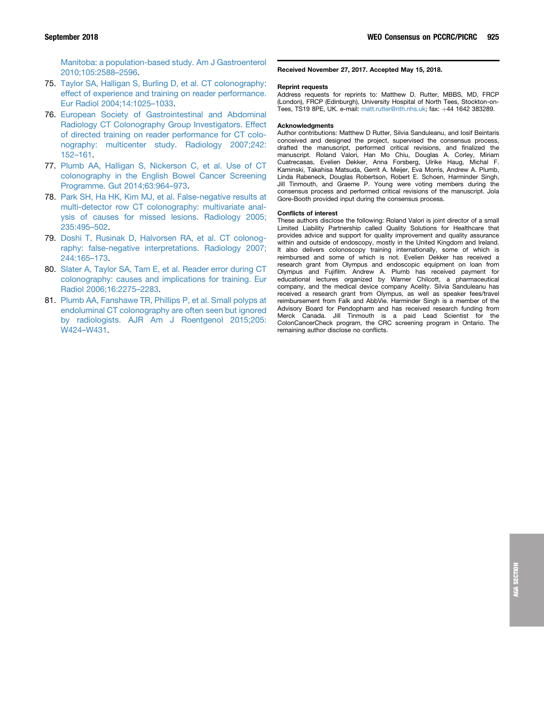<span id="page-16-0"></span>[Manitoba: a population-based study. Am J Gastroenterol](http://refhub.elsevier.com/S0016-5085(18)34571-2/sref74) [2010;105:2588](http://refhub.elsevier.com/S0016-5085(18)34571-2/sref74)–[2596.](http://refhub.elsevier.com/S0016-5085(18)34571-2/sref74)

- 75. [Taylor SA, Halligan S, Burling D, et al. CT colonography:](http://refhub.elsevier.com/S0016-5085(18)34571-2/sref75) [effect of experience and training on reader performance.](http://refhub.elsevier.com/S0016-5085(18)34571-2/sref75) [Eur Radiol 2004;14:1025](http://refhub.elsevier.com/S0016-5085(18)34571-2/sref75)–[1033](http://refhub.elsevier.com/S0016-5085(18)34571-2/sref75).
- 76. [European Society of Gastrointestinal and Abdominal](http://refhub.elsevier.com/S0016-5085(18)34571-2/sref76) [Radiology CT Colonography Group Investigators. Effect](http://refhub.elsevier.com/S0016-5085(18)34571-2/sref76) [of directed training on reader performance for CT colo](http://refhub.elsevier.com/S0016-5085(18)34571-2/sref76)[nography: multicenter study. Radiology 2007;242:](http://refhub.elsevier.com/S0016-5085(18)34571-2/sref76) [152](http://refhub.elsevier.com/S0016-5085(18)34571-2/sref76)–[161.](http://refhub.elsevier.com/S0016-5085(18)34571-2/sref76)
- 77. [Plumb AA, Halligan S, Nickerson C, et al. Use of CT](http://refhub.elsevier.com/S0016-5085(18)34571-2/sref77) [colonography in the English Bowel Cancer Screening](http://refhub.elsevier.com/S0016-5085(18)34571-2/sref77) [Programme. Gut 2014;63:964](http://refhub.elsevier.com/S0016-5085(18)34571-2/sref77)–[973](http://refhub.elsevier.com/S0016-5085(18)34571-2/sref77).
- 78. [Park SH, Ha HK, Kim MJ, et al. False-negative results at](http://refhub.elsevier.com/S0016-5085(18)34571-2/sref78) [multi-detector row CT colonography: multivariate anal](http://refhub.elsevier.com/S0016-5085(18)34571-2/sref78)[ysis of causes for missed lesions. Radiology 2005;](http://refhub.elsevier.com/S0016-5085(18)34571-2/sref78) [235:495](http://refhub.elsevier.com/S0016-5085(18)34571-2/sref78)–[502.](http://refhub.elsevier.com/S0016-5085(18)34571-2/sref78)
- 79. [Doshi T, Rusinak D, Halvorsen RA, et al. CT colonog](http://refhub.elsevier.com/S0016-5085(18)34571-2/sref79)[raphy: false-negative interpretations. Radiology 2007;](http://refhub.elsevier.com/S0016-5085(18)34571-2/sref79) [244:165](http://refhub.elsevier.com/S0016-5085(18)34571-2/sref79)–[173.](http://refhub.elsevier.com/S0016-5085(18)34571-2/sref79)
- 80. [Slater A, Taylor SA, Tam E, et al. Reader error during CT](http://refhub.elsevier.com/S0016-5085(18)34571-2/sref80) [colonography: causes and implications for training. Eur](http://refhub.elsevier.com/S0016-5085(18)34571-2/sref80) [Radiol 2006;16:2275](http://refhub.elsevier.com/S0016-5085(18)34571-2/sref80)–[2283](http://refhub.elsevier.com/S0016-5085(18)34571-2/sref80).
- 81. [Plumb AA, Fanshawe TR, Phillips P, et al. Small polyps at](http://refhub.elsevier.com/S0016-5085(18)34571-2/sref81) [endoluminal CT colonography are often seen but ignored](http://refhub.elsevier.com/S0016-5085(18)34571-2/sref81) [by radiologists. AJR Am J Roentgenol 2015;205:](http://refhub.elsevier.com/S0016-5085(18)34571-2/sref81) [W424](http://refhub.elsevier.com/S0016-5085(18)34571-2/sref81)–[W431.](http://refhub.elsevier.com/S0016-5085(18)34571-2/sref81)

Received November 27, 2017. Accepted May 15, 2018.

#### Reprint requests

Address requests for reprints to: Matthew D. Rutter, MBBS, MD, FRCP (London), FRCP (Edinburgh), University Hospital of North Tees, Stockton-onTees, TS19 8PE, UK. e-mail: [matt.rutter@nth.nhs.uk;](mailto:matt.rutter@nth.nhs.uk) fax: +44 1642 383289.

#### Acknowledgments

Author contributions: Matthew D Rutter, Silvia Sanduleanu, and Iosif Beintaris conceived and designed the project, supervised the consensus process, drafted the manuscript, performed critical revisions, and finalized the manuscript. Roland Valori, Han Mo Chiu, Douglas A. Corley, Miriam Cuatrecasas, Evelien Dekker, Anna Forsberg, Ulrike Haug, Michal F. Kaminski, Takahisa Matsuda, Gerrit A. Meijer, Eva Morris, Andrew A. Plumb, Linda Rabeneck, Douglas Robertson, Robert E. Schoen, Harminder Singh, Jill Tinmouth, and Graeme P. Young were voting members during the consensus process and performed critical revisions of the manuscript. Jola Gore-Booth provided input during the consensus process.

#### Conflicts of interest

These authors disclose the following: Roland Valori is joint director of a small Limited Liability Partnership called Quality Solutions for Healthcare that provides advice and support for quality improvement and quality assurance within and outside of endoscopy, mostly in the United Kingdom and Ireland. It also delivers colonoscopy training internationally, some of which is reimbursed and some of which is not. Evelien Dekker has received a research grant from Olympus and endoscopic equipment on loan from Olympus and Fujifilm. Andrew A. Plumb has received payment for educational lectures organized by Warner Chilcott, a pharmaceutical company, and the medical device company Acelity. Silvia Sanduleanu has received a research grant from Olympus, as well as speaker fees/travel reimbursement from Falk and AbbVie. Harminder Singh is a member of the Advisory Board for Pendopharm and has received research funding from Merck Canada. Jill Tinmouth is a paid Lead Scientist for the ColonCancerCheck program, the CRC screening program in Ontario. The remaining author disclose no conflicts.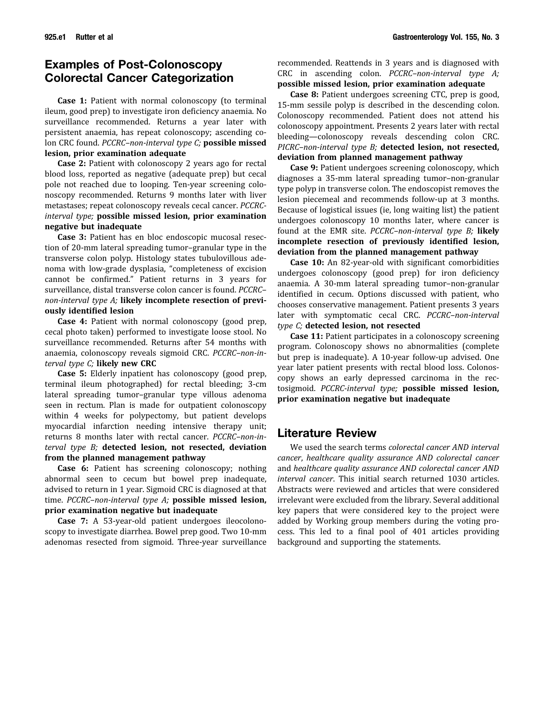## <span id="page-17-0"></span>Examples of Post-Colonoscopy Colorectal Cancer Categorization

Case 1: Patient with normal colonoscopy (to terminal ileum, good prep) to investigate iron deficiency anaemia. No surveillance recommended. Returns a year later with persistent anaemia, has repeat colonoscopy; ascending colon CRC found. PCCRC-non-interval type C; possible missed lesion, prior examination adequate

Case 2: Patient with colonoscopy 2 years ago for rectal blood loss, reported as negative (adequate prep) but cecal pole not reached due to looping. Ten-year screening colonoscopy recommended. Returns 9 months later with liver metastases; repeat colonoscopy reveals cecal cancer. PCCRCinterval type; possible missed lesion, prior examination negative but inadequate

Case 3: Patient has en bloc endoscopic mucosal resection of 20-mm lateral spreading tumor–granular type in the transverse colon polyp. Histology states tubulovillous adenoma with low-grade dysplasia, "completeness of excision cannot be confirmed." Patient returns in 3 years for surveillance, distal transverse colon cancer is found. PCCRC– non-interval type A; likely incomplete resection of previously identified lesion

Case 4: Patient with normal colonoscopy (good prep, cecal photo taken) performed to investigate loose stool. No surveillance recommended. Returns after 54 months with anaemia, colonoscopy reveals sigmoid CRC. PCCRC–non-interval type C; likely new CRC

Case 5: Elderly inpatient has colonoscopy (good prep, terminal ileum photographed) for rectal bleeding; 3-cm lateral spreading tumor–granular type villous adenoma seen in rectum. Plan is made for outpatient colonoscopy within 4 weeks for polypectomy, but patient develops myocardial infarction needing intensive therapy unit; returns 8 months later with rectal cancer. PCCRC–non-interval type B; detected lesion, not resected, deviation from the planned management pathway

Case 6: Patient has screening colonoscopy; nothing abnormal seen to cecum but bowel prep inadequate, advised to return in 1 year. Sigmoid CRC is diagnosed at that time. PCCRC–non-interval type A; possible missed lesion, prior examination negative but inadequate

Case 7: A 53-year-old patient undergoes ileocolonoscopy to investigate diarrhea. Bowel prep good. Two 10-mm adenomas resected from sigmoid. Three-year surveillance recommended. Reattends in 3 years and is diagnosed with CRC in ascending colon. PCCRC–non-interval type A; possible missed lesion, prior examination adequate

Case 8: Patient undergoes screening CTC, prep is good, 15-mm sessile polyp is described in the descending colon. Colonoscopy recommended. Patient does not attend his colonoscopy appointment. Presents 2 years later with rectal bleeding—colonoscopy reveals descending colon CRC. PICRC-non-interval type B; detected lesion, not resected, deviation from planned management pathway

Case 9: Patient undergoes screening colonoscopy, which diagnoses a 35-mm lateral spreading tumor–non-granular type polyp in transverse colon. The endoscopist removes the lesion piecemeal and recommends follow-up at 3 months. Because of logistical issues (ie, long waiting list) the patient undergoes colonoscopy 10 months later, where cancer is found at the EMR site. PCCRC-non-interval type B; likely incomplete resection of previously identified lesion, deviation from the planned management pathway

Case 10: An 82-year-old with significant comorbidities undergoes colonoscopy (good prep) for iron deficiency anaemia. A 30-mm lateral spreading tumor–non-granular identified in cecum. Options discussed with patient, who chooses conservative management. Patient presents 3 years later with symptomatic cecal CRC. PCCRC-non-interval type C; detected lesion, not resected

Case 11: Patient participates in a colonoscopy screening program. Colonoscopy shows no abnormalities (complete but prep is inadequate). A 10-year follow-up advised. One year later patient presents with rectal blood loss. Colonoscopy shows an early depressed carcinoma in the rectosigmoid. PCCRC-interval type; possible missed lesion, prior examination negative but inadequate

#### Literature Review

We used the search terms *colorectal cancer AND interval* cancer, healthcare quality assurance AND colorectal cancer and healthcare quality assurance AND colorectal cancer AND interval cancer. This initial search returned 1030 articles. Abstracts were reviewed and articles that were considered irrelevant were excluded from the library. Several additional key papers that were considered key to the project were added by Working group members during the voting process. This led to a final pool of 401 articles providing background and supporting the statements.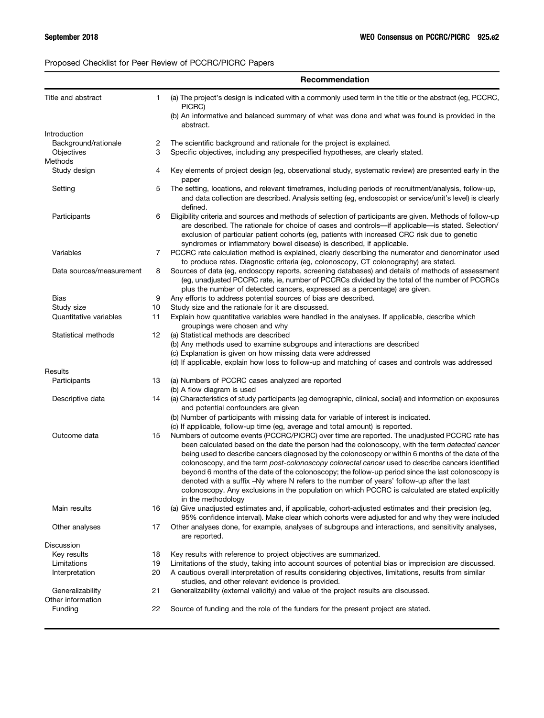#### Proposed Checklist for Peer Review of PCCRC/PICRC Papers

|                                       |    | Recommendation                                                                                                                                                                                                                                                                                                                                                                                                                                                                                                                                                                                                                                                                                                                         |
|---------------------------------------|----|----------------------------------------------------------------------------------------------------------------------------------------------------------------------------------------------------------------------------------------------------------------------------------------------------------------------------------------------------------------------------------------------------------------------------------------------------------------------------------------------------------------------------------------------------------------------------------------------------------------------------------------------------------------------------------------------------------------------------------------|
| Title and abstract                    | 1  | (a) The project's design is indicated with a commonly used term in the title or the abstract (eg, PCCRC,<br>PICRC)                                                                                                                                                                                                                                                                                                                                                                                                                                                                                                                                                                                                                     |
|                                       |    | (b) An informative and balanced summary of what was done and what was found is provided in the<br>abstract.                                                                                                                                                                                                                                                                                                                                                                                                                                                                                                                                                                                                                            |
| Introduction                          |    |                                                                                                                                                                                                                                                                                                                                                                                                                                                                                                                                                                                                                                                                                                                                        |
| Background/rationale                  | 2  | The scientific background and rationale for the project is explained.                                                                                                                                                                                                                                                                                                                                                                                                                                                                                                                                                                                                                                                                  |
| Objectives                            | 3  | Specific objectives, including any prespecified hypotheses, are clearly stated.                                                                                                                                                                                                                                                                                                                                                                                                                                                                                                                                                                                                                                                        |
| Methods                               |    |                                                                                                                                                                                                                                                                                                                                                                                                                                                                                                                                                                                                                                                                                                                                        |
| Study design                          | 4  | Key elements of project design (eg, observational study, systematic review) are presented early in the<br>paper                                                                                                                                                                                                                                                                                                                                                                                                                                                                                                                                                                                                                        |
| Setting                               | 5  | The setting, locations, and relevant timeframes, including periods of recruitment/analysis, follow-up,<br>and data collection are described. Analysis setting (eg, endoscopist or service/unit's level) is clearly<br>defined.                                                                                                                                                                                                                                                                                                                                                                                                                                                                                                         |
| Participants                          | 6  | Eligibility criteria and sources and methods of selection of participants are given. Methods of follow-up<br>are described. The rationale for choice of cases and controls-if applicable-is stated. Selection/<br>exclusion of particular patient cohorts (eg, patients with increased CRC risk due to genetic<br>syndromes or inflammatory bowel disease) is described, if applicable.                                                                                                                                                                                                                                                                                                                                                |
| Variables                             | 7  | PCCRC rate calculation method is explained, clearly describing the numerator and denominator used<br>to produce rates. Diagnostic criteria (eg, colonoscopy, CT colonography) are stated.                                                                                                                                                                                                                                                                                                                                                                                                                                                                                                                                              |
| Data sources/measurement              | 8  | Sources of data (eg, endoscopy reports, screening databases) and details of methods of assessment<br>(eg, unadjusted PCCRC rate, ie, number of PCCRCs divided by the total of the number of PCCRCs<br>plus the number of detected cancers, expressed as a percentage) are given.                                                                                                                                                                                                                                                                                                                                                                                                                                                       |
| Bias                                  | 9  | Any efforts to address potential sources of bias are described.                                                                                                                                                                                                                                                                                                                                                                                                                                                                                                                                                                                                                                                                        |
| Study size                            | 10 | Study size and the rationale for it are discussed.                                                                                                                                                                                                                                                                                                                                                                                                                                                                                                                                                                                                                                                                                     |
| Quantitative variables                | 11 | Explain how quantitative variables were handled in the analyses. If applicable, describe which<br>groupings were chosen and why                                                                                                                                                                                                                                                                                                                                                                                                                                                                                                                                                                                                        |
| Statistical methods                   | 12 | (a) Statistical methods are described                                                                                                                                                                                                                                                                                                                                                                                                                                                                                                                                                                                                                                                                                                  |
|                                       |    | (b) Any methods used to examine subgroups and interactions are described<br>(c) Explanation is given on how missing data were addressed                                                                                                                                                                                                                                                                                                                                                                                                                                                                                                                                                                                                |
|                                       |    | (d) If applicable, explain how loss to follow-up and matching of cases and controls was addressed                                                                                                                                                                                                                                                                                                                                                                                                                                                                                                                                                                                                                                      |
| Results                               |    |                                                                                                                                                                                                                                                                                                                                                                                                                                                                                                                                                                                                                                                                                                                                        |
| Participants                          | 13 | (a) Numbers of PCCRC cases analyzed are reported<br>(b) A flow diagram is used                                                                                                                                                                                                                                                                                                                                                                                                                                                                                                                                                                                                                                                         |
| Descriptive data                      | 14 | (a) Characteristics of study participants (eg demographic, clinical, social) and information on exposures<br>and potential confounders are given                                                                                                                                                                                                                                                                                                                                                                                                                                                                                                                                                                                       |
|                                       |    | (b) Number of participants with missing data for variable of interest is indicated.                                                                                                                                                                                                                                                                                                                                                                                                                                                                                                                                                                                                                                                    |
|                                       |    | (c) If applicable, follow-up time (eg, average and total amount) is reported.                                                                                                                                                                                                                                                                                                                                                                                                                                                                                                                                                                                                                                                          |
| Outcome data                          | 15 | Numbers of outcome events (PCCRC/PICRC) over time are reported. The unadjusted PCCRC rate has<br>been calculated based on the date the person had the colonoscopy, with the term detected cancer<br>being used to describe cancers diagnosed by the colonoscopy or within 6 months of the date of the<br>colonoscopy, and the term post-colonoscopy colorectal cancer used to describe cancers identified<br>beyond 6 months of the date of the colonoscopy; the follow-up period since the last colonoscopy is<br>denoted with a suffix -Ny where N refers to the number of years' follow-up after the last<br>colonoscopy. Any exclusions in the population on which PCCRC is calculated are stated explicitly<br>in the methodology |
| Main results                          | 16 | (a) Give unadjusted estimates and, if applicable, cohort-adjusted estimates and their precision (eg,<br>95% confidence interval). Make clear which cohorts were adjusted for and why they were included                                                                                                                                                                                                                                                                                                                                                                                                                                                                                                                                |
| Other analyses                        | 17 | Other analyses done, for example, analyses of subgroups and interactions, and sensitivity analyses,<br>are reported.                                                                                                                                                                                                                                                                                                                                                                                                                                                                                                                                                                                                                   |
| Discussion                            |    |                                                                                                                                                                                                                                                                                                                                                                                                                                                                                                                                                                                                                                                                                                                                        |
| Key results                           | 18 | Key results with reference to project objectives are summarized.                                                                                                                                                                                                                                                                                                                                                                                                                                                                                                                                                                                                                                                                       |
| Limitations                           | 19 | Limitations of the study, taking into account sources of potential bias or imprecision are discussed.                                                                                                                                                                                                                                                                                                                                                                                                                                                                                                                                                                                                                                  |
| Interpretation                        | 20 | A cautious overall interpretation of results considering objectives, limitations, results from similar<br>studies, and other relevant evidence is provided.                                                                                                                                                                                                                                                                                                                                                                                                                                                                                                                                                                            |
| Generalizability<br>Other information | 21 | Generalizability (external validity) and value of the project results are discussed.                                                                                                                                                                                                                                                                                                                                                                                                                                                                                                                                                                                                                                                   |
| Funding                               | 22 | Source of funding and the role of the funders for the present project are stated.                                                                                                                                                                                                                                                                                                                                                                                                                                                                                                                                                                                                                                                      |
|                                       |    |                                                                                                                                                                                                                                                                                                                                                                                                                                                                                                                                                                                                                                                                                                                                        |